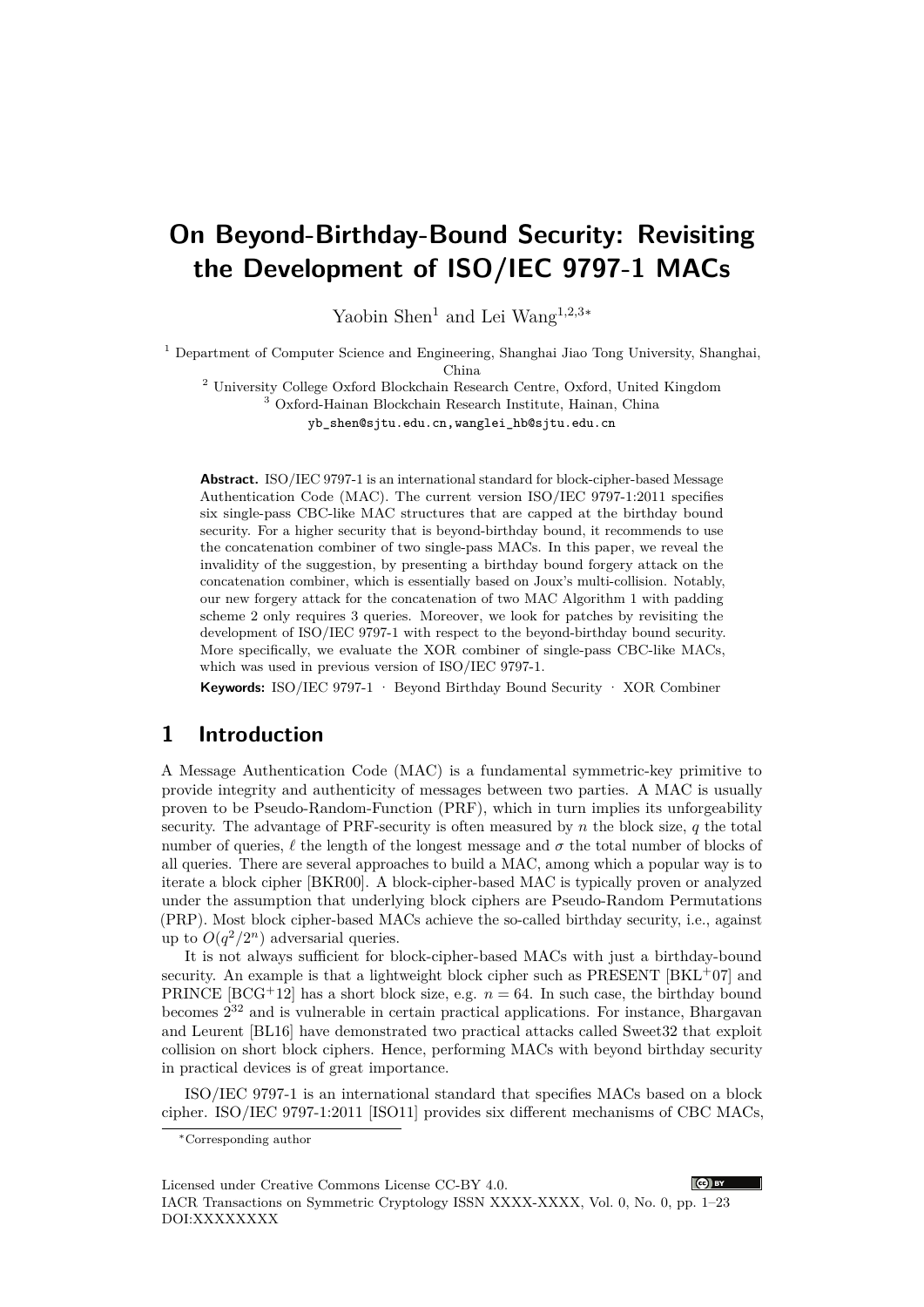# **On Beyond-Birthday-Bound Security: Revisiting the Development of ISO/IEC 9797-1 MACs**

Yaobin Shen<sup>1</sup> and Lei Wang<sup>1</sup>*,*2*,*3∗

 $<sup>1</sup>$  Department of Computer Science and Engineering, Shanghai Jiao Tong University, Shanghai,</sup>

China

<sup>2</sup> University College Oxford Blockchain Research Centre, Oxford, United Kingdom <sup>3</sup> Oxford-Hainan Blockchain Research Institute, Hainan, China

yb\_shen@sjtu.edu.cn,wanglei\_hb@sjtu.edu.cn

**Abstract.** ISO/IEC 9797-1 is an international standard for block-cipher-based Message Authentication Code (MAC). The current version ISO/IEC 9797-1:2011 specifies six single-pass CBC-like MAC structures that are capped at the birthday bound security. For a higher security that is beyond-birthday bound, it recommends to use the concatenation combiner of two single-pass MACs. In this paper, we reveal the invalidity of the suggestion, by presenting a birthday bound forgery attack on the concatenation combiner, which is essentially based on Joux's multi-collision. Notably, our new forgery attack for the concatenation of two MAC Algorithm 1 with padding scheme 2 only requires 3 queries. Moreover, we look for patches by revisiting the development of ISO/IEC 9797-1 with respect to the beyond-birthday bound security. More specifically, we evaluate the XOR combiner of single-pass CBC-like MACs, which was used in previous version of ISO/IEC 9797-1.

**Keywords:** ISO/IEC 9797-1 · Beyond Birthday Bound Security · XOR Combiner

# **1 Introduction**

A Message Authentication Code (MAC) is a fundamental symmetric-key primitive to provide integrity and authenticity of messages between two parties. A MAC is usually proven to be Pseudo-Random-Function (PRF), which in turn implies its unforgeability security. The advantage of PRF-security is often measured by *n* the block size, *q* the total number of queries,  $\ell$  the length of the longest message and  $\sigma$  the total number of blocks of all queries. There are several approaches to build a MAC, among which a popular way is to iterate a block cipher [BKR00]. A block-cipher-based MAC is typically proven or analyzed under the assumption that underlying block ciphers are Pseudo-Random Permutations (PRP). Most block cipher-based MACs achieve the so-called birthday security, i.e., against up to  $O(q^2/2^n)$  adversarial queries.

It is not always sufficient for block-cipher-based MACs with just a birthday-bound security. An example is that a lightweight block cipher such as  $PRESENT$  [BKL<sup>+</sup>07] and PRINCE  $[BCG^+12]$  has a short block size, e.g.  $n = 64$ . In such case, the birthday bound becomes  $2^{32}$  and is vulnerable in certain practical applications. For instance, Bhargavan and Leurent [BL16] have demonstrated two practical attacks called Sweet32 that exploit collision on short block ciphers. Hence, performing MACs with beyond birthday security in practical devices is of great importance.

ISO/IEC 9797-1 is an international standard that specifies MACs based on a block cipher. ISO/IEC 9797-1:2011 [ISO11] provides six different mechanisms of CBC MACs,



<sup>∗</sup>Corresponding author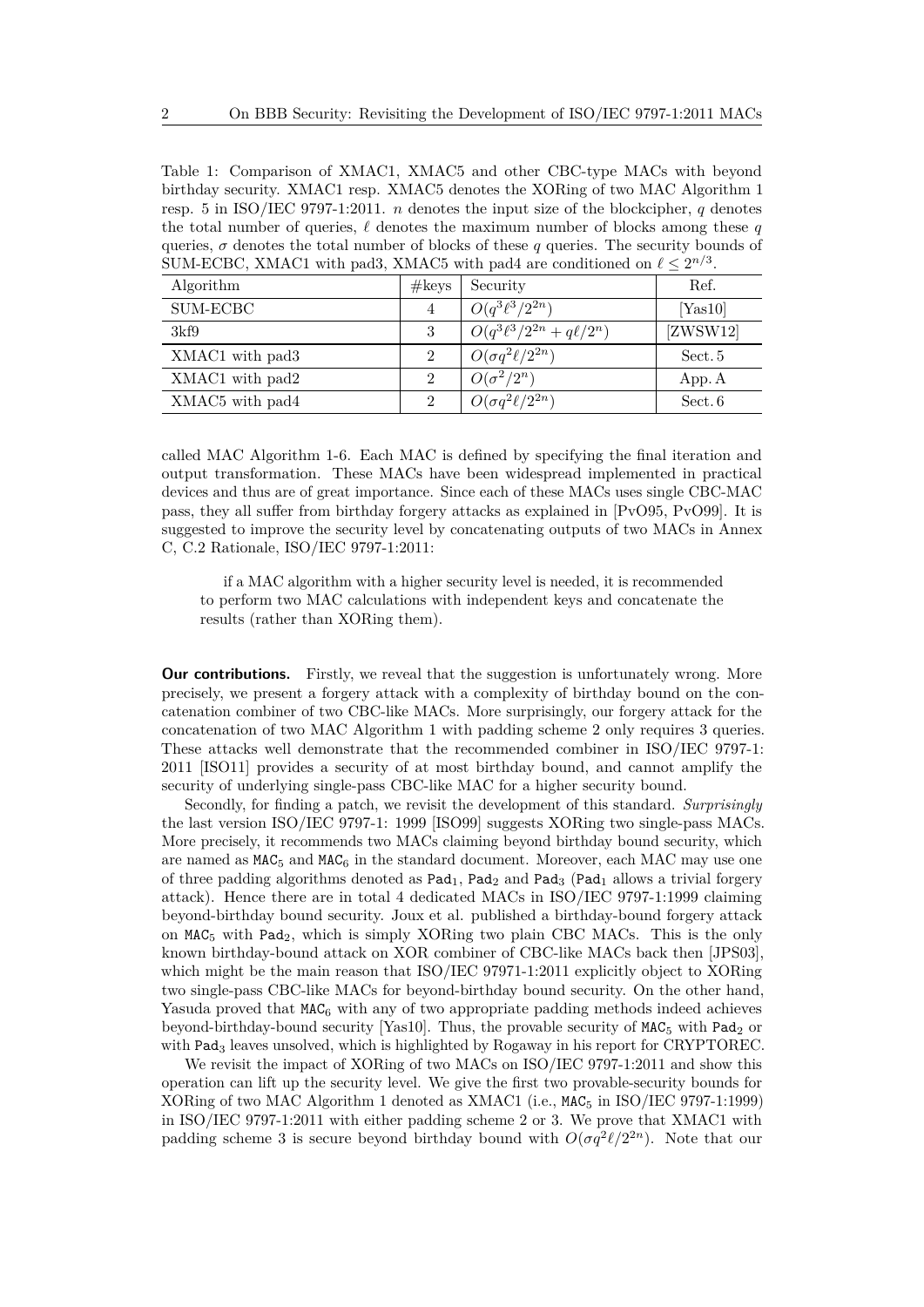Table 1: Comparison of XMAC1, XMAC5 and other CBC-type MACs with beyond birthday security. XMAC1 resp. XMAC5 denotes the XORing of two MAC Algorithm 1 resp. 5 in ISO/IEC 9797-1:2011. *n* denotes the input size of the blockcipher, *q* denotes the total number of queries,  $\ell$  denotes the maximum number of blocks among these  $q$ queries,  $\sigma$  denotes the total number of blocks of these  $q$  queries. The security bounds of SUM-ECBC, XMAC1 with pad3, XMAC5 with pad4 are conditioned on  $\ell \leq 2^{n/3}$ .

| Algorithm                               | #keys    | Security                        | Ref.     |
|-----------------------------------------|----------|---------------------------------|----------|
| SUM-ECBC                                | 4        | $O(q^3\ell^3/2^{2n})$           | [Yas10]  |
| 3kf9                                    | 3        | $O(q^3\ell^3/2^{2n}+q\ell/2^n)$ | [ZWSW12] |
| XMAC1 with pad3                         | $\Omega$ | $O(\sigma q^2 \ell / 2^{2n})$   | Sect. 5  |
| XMAC1 with pad2                         | $\Omega$ | $O(\sigma^2/2^n)$               | App. A   |
| XMAC <sub>5</sub> with pad <sub>4</sub> | $\Omega$ | $O(\sigma q^2 \ell / 2^{2n})$   | Sect. 6  |

called MAC Algorithm 1-6. Each MAC is defined by specifying the final iteration and output transformation. These MACs have been widespread implemented in practical devices and thus are of great importance. Since each of these MACs uses single CBC-MAC pass, they all suffer from birthday forgery attacks as explained in [PvO95, PvO99]. It is suggested to improve the security level by concatenating outputs of two MACs in Annex C, C.2 Rationale, ISO/IEC 9797-1:2011:

if a MAC algorithm with a higher security level is needed, it is recommended to perform two MAC calculations with independent keys and concatenate the results (rather than XORing them).

**Our contributions.** Firstly, we reveal that the suggestion is unfortunately wrong. More precisely, we present a forgery attack with a complexity of birthday bound on the concatenation combiner of two CBC-like MACs. More surprisingly, our forgery attack for the concatenation of two MAC Algorithm 1 with padding scheme 2 only requires 3 queries. These attacks well demonstrate that the recommended combiner in ISO/IEC 9797-1: 2011 [ISO11] provides a security of at most birthday bound, and cannot amplify the security of underlying single-pass CBC-like MAC for a higher security bound.

Secondly, for finding a patch, we revisit the development of this standard. *Surprisingly* the last version ISO/IEC 9797-1: 1999 [ISO99] suggests XORing two single-pass MACs. More precisely, it recommends two MACs claiming beyond birthday bound security, which are named as  $MAC<sub>5</sub>$  and  $MAC<sub>6</sub>$  in the standard document. Moreover, each MAC may use one of three padding algorithms denoted as  $\text{Pad}_1$ ,  $\text{Pad}_2$  and  $\text{Pad}_3$  ( $\text{Pad}_1$  allows a trivial forgery attack). Hence there are in total 4 dedicated MACs in ISO/IEC 9797-1:1999 claiming beyond-birthday bound security. Joux et al. published a birthday-bound forgery attack on  $MAC<sub>5</sub>$  with Pad<sub>2</sub>, which is simply XORing two plain CBC MACs. This is the only known birthday-bound attack on XOR combiner of CBC-like MACs back then [JPS03], which might be the main reason that ISO/IEC 97971-1:2011 explicitly object to XORing two single-pass CBC-like MACs for beyond-birthday bound security. On the other hand, Yasuda proved that  $MAC<sub>6</sub>$  with any of two appropriate padding methods indeed achieves beyond-birthday-bound security [Yas10]. Thus, the provable security of  $MAC<sub>5</sub>$  with Pad<sub>2</sub> or with Pad<sub>3</sub> leaves unsolved, which is highlighted by Rogaway in his report for CRYPTOREC.

We revisit the impact of XORing of two MACs on ISO/IEC 9797-1:2011 and show this operation can lift up the security level. We give the first two provable-security bounds for XORing of two MAC Algorithm 1 denoted as XMAC1 (i.e.,  $MAC<sub>5</sub>$  in ISO/IEC 9797-1:1999) in ISO/IEC 9797-1:2011 with either padding scheme 2 or 3. We prove that XMAC1 with padding scheme 3 is secure beyond birthday bound with  $O(\sigma q^2 \ell / 2^{2n})$ . Note that our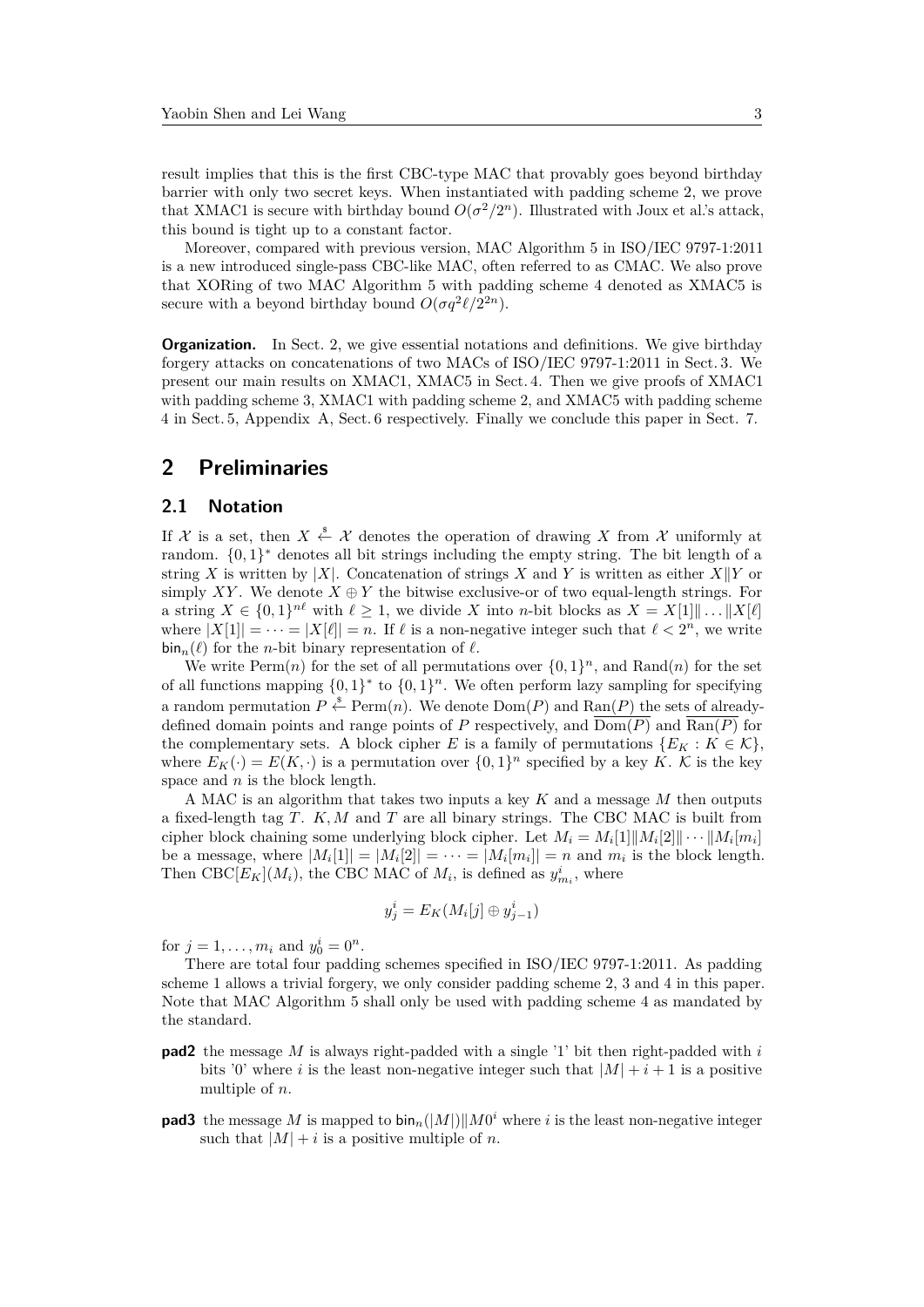result implies that this is the first CBC-type MAC that provably goes beyond birthday barrier with only two secret keys. When instantiated with padding scheme 2, we prove that XMAC1 is secure with birthday bound  $O(\sigma^2/2^n)$ . Illustrated with Joux et al.'s attack, this bound is tight up to a constant factor.

Moreover, compared with previous version, MAC Algorithm 5 in ISO/IEC 9797-1:2011 is a new introduced single-pass CBC-like MAC, often referred to as CMAC. We also prove that XORing of two MAC Algorithm 5 with padding scheme 4 denoted as XMAC5 is secure with a beyond birthday bound  $O(\sigma q^2 \ell / 2^{2n}).$ 

**Organization.** In Sect. 2, we give essential notations and definitions. We give birthday forgery attacks on concatenations of two MACs of ISO/IEC 9797-1:2011 in Sect. 3. We present our main results on XMAC1, XMAC5 in Sect. 4. Then we give proofs of XMAC1 with padding scheme 3, XMAC1 with padding scheme 2, and XMAC5 with padding scheme 4 in Sect. 5, Appendix A, Sect. 6 respectively. Finally we conclude this paper in Sect. 7.

# **2 Preliminaries**

#### **2.1 Notation**

If X is a set, then  $X \stackrel{\$}{\leftarrow} X$  denotes the operation of drawing X from X uniformly at random.  $\{0,1\}^*$  denotes all bit strings including the empty string. The bit length of a string *X* is written by |*X*|. Concatenation of strings *X* and *Y* is written as either  $X||Y$  or simply XY. We denote  $X \oplus Y$  the bitwise exclusive-or of two equal-length strings. For a string  $X \in \{0,1\}^{n\ell}$  with  $\ell \geq 1$ , we divide *X* into *n*-bit blocks as  $X = X[1] \| \dots \| X[\ell]$ where  $|X[1]| = \cdots = |X[\ell]| = n$ . If  $\ell$  is a non-negative integer such that  $\ell < 2^n$ , we write  $\sin_n(\ell)$  for the *n*-bit binary representation of  $\ell$ .

We write  $\text{Perm}(n)$  for the set of all permutations over  $\{0,1\}^n$ , and  $\text{Rand}(n)$  for the set of all functions mapping  $\{0,1\}^*$  to  $\{0,1\}^n$ . We often perform lazy sampling for specifying a random permutation  $P \stackrel{\$}{\leftarrow} \text{Perm}(n)$ . We denote  $\text{Dom}(P)$  and  $\text{Ran}(P)$  the sets of alreadydefined domain points and range points of P respectively, and  $\overline{\mathrm{Dom}(P)}$  and  $\overline{\mathrm{Ran}(P)}$  for the complementary sets. A block cipher *E* is a family of permutations  $\{E_K : K \in \mathcal{K}\}\$ where  $E_K(\cdot) = E(K, \cdot)$  is a permutation over  $\{0, 1\}^n$  specified by a key K. K is the key space and *n* is the block length.

A MAC is an algorithm that takes two inputs a key *K* and a message *M* then outputs a fixed-length tag *T*. *K, M* and *T* are all binary strings. The CBC MAC is built from cipher block chaining some underlying block cipher. Let  $M_i = M_i[1] \| M_i[2] \| \cdots \| M_i[m_i]$ be a message, where  $|M_i[1]| = |M_i[2]| = \cdots = |M_i[m_i]| = n$  and  $m_i$  is the block length. Then CBC $[E_K](M_i)$ , the CBC MAC of  $M_i$ , is defined as  $y_{m_i}^i$ , where

$$
y_j^i = E_K(M_i[j] \oplus y_{j-1}^i)
$$

for  $j = 1, ..., m_i$  and  $y_0^i = 0^n$ .

There are total four padding schemes specified in ISO/IEC 9797-1:2011. As padding scheme 1 allows a trivial forgery, we only consider padding scheme 2, 3 and 4 in this paper. Note that MAC Algorithm 5 shall only be used with padding scheme 4 as mandated by the standard.

- **pad2** the message *M* is always right-padded with a single '1' bit then right-padded with *i* bits '0' where *i* is the least non-negative integer such that  $|M| + i + 1$  is a positive multiple of *n*.
- **pad3** the message *M* is mapped to  $\text{bin}_n(|M|)||M0^i$  where *i* is the least non-negative integer such that  $|M| + i$  is a positive multiple of *n*.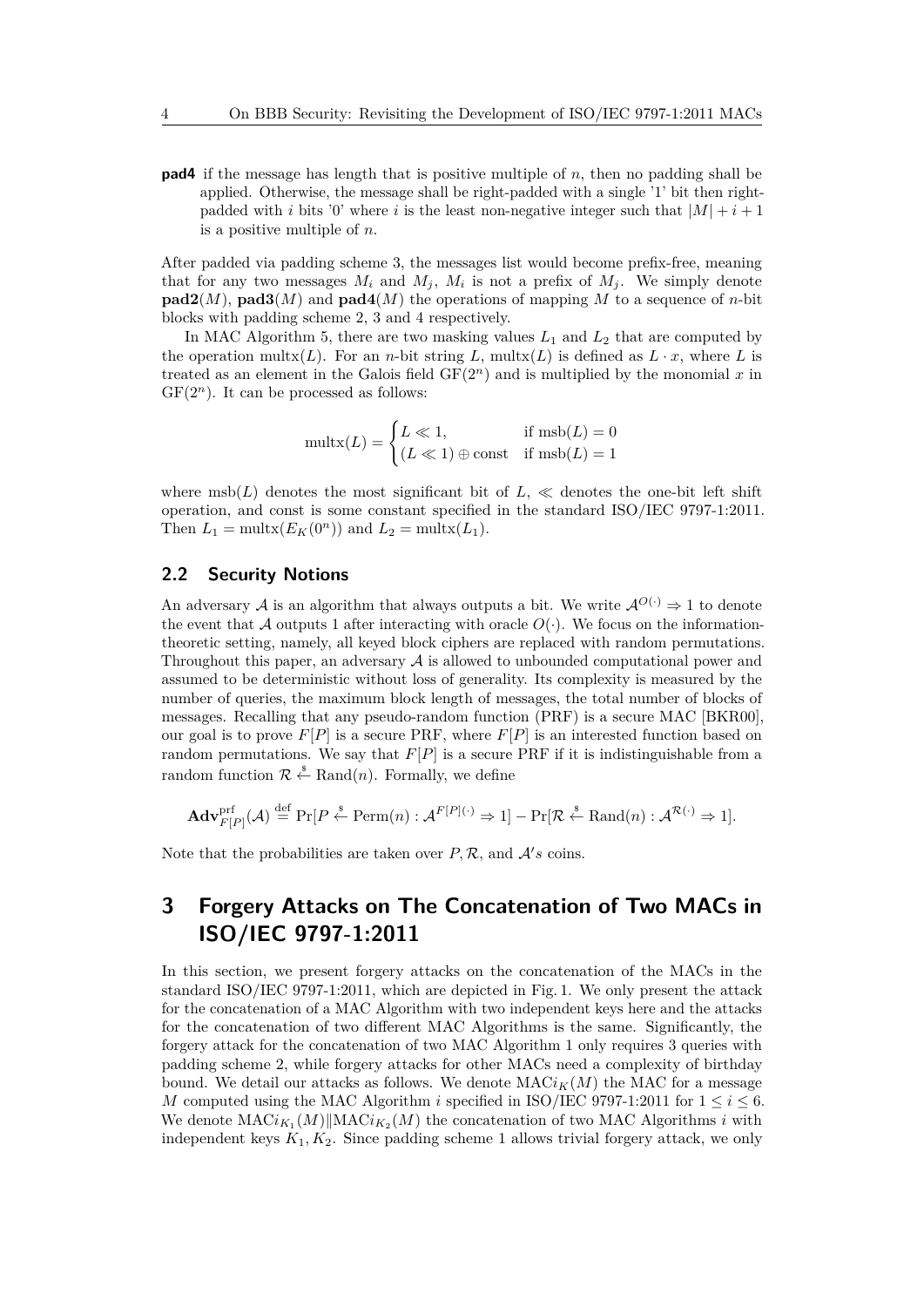**pad4** if the message has length that is positive multiple of *n*, then no padding shall be applied. Otherwise, the message shall be right-padded with a single '1' bit then rightpadded with *i* bits '0' where *i* is the least non-negative integer such that  $|M| + i + 1$ is a positive multiple of *n*.

After padded via padding scheme 3, the messages list would become prefix-free, meaning that for any two messages  $M_i$  and  $M_j$ ,  $M_i$  is not a prefix of  $M_j$ . We simply denote **pad2**(*M*), **pad3**(*M*) and **pad4**(*M*) the operations of mapping *M* to a sequence of *n*-bit blocks with padding scheme 2, 3 and 4 respectively.

In MAC Algorithm 5, there are two masking values *L*<sup>1</sup> and *L*<sup>2</sup> that are computed by the operation multx $(L)$ . For an *n*-bit string  $L$ , multx $(L)$  is defined as  $L \cdot x$ , where  $L$  is treated as an element in the Galois field  $GF(2<sup>n</sup>)$  and is multiplied by the monomial x in  $GF(2<sup>n</sup>)$ . It can be processed as follows:

$$
\text{multx}(L) = \begin{cases} L \ll 1, & \text{if } \text{msb}(L) = 0\\ (L \ll 1) \oplus \text{const} & \text{if } \text{msb}(L) = 1 \end{cases}
$$

where  $msh(L)$  denotes the most significant bit of  $L, \ll$  denotes the one-bit left shift operation, and const is some constant specified in the standard ISO/IEC 9797-1:2011. Then  $L_1 = \text{multx}(E_K(0^n))$  and  $L_2 = \text{multx}(L_1)$ .

## **2.2 Security Notions**

An adversary A is an algorithm that always outputs a bit. We write  $\mathcal{A}^{O(\cdot)} \Rightarrow 1$  to denote the event that A outputs 1 after interacting with oracle  $O(\cdot)$ . We focus on the informationtheoretic setting, namely, all keyed block ciphers are replaced with random permutations. Throughout this paper, an adversary  $A$  is allowed to unbounded computational power and assumed to be deterministic without loss of generality. Its complexity is measured by the number of queries, the maximum block length of messages, the total number of blocks of messages. Recalling that any pseudo-random function (PRF) is a secure MAC [BKR00], our goal is to prove  $F[P]$  is a secure PRF, where  $F[P]$  is an interested function based on random permutations. We say that  $F[P]$  is a secure PRF if it is indistinguishable from a random function  $\mathcal{R} \stackrel{\$}{\leftarrow} \text{Rand}(n)$ . Formally, we define

$$
\mathbf{Adv}_{F[P]}^{\mathrm{prf}}(\mathcal{A}) \stackrel{\mathrm{def}}{=} \mathrm{Pr}[P \stackrel{\hspace{0.1em}\mathsf{\scriptscriptstyle\$}}{\leftarrow} \mathrm{Perm}(n) : \mathcal{A}^{F[P](\cdot)} \Rightarrow 1] - \mathrm{Pr}[\mathcal{R} \stackrel{\hspace{0.1em}\mathsf{\scriptscriptstyle\$}}{\leftarrow} \mathrm{Rand}(n) : \mathcal{A}^{\mathcal{R}(\cdot)} \Rightarrow 1].
$$

Note that the probabilities are taken over  $P$ ,  $\mathcal{R}$ , and  $\mathcal{A}'s$  coins.

# **3 Forgery Attacks on The Concatenation of Two MACs in ISO/IEC 9797-1:2011**

In this section, we present forgery attacks on the concatenation of the MACs in the standard ISO/IEC 9797-1:2011, which are depicted in Fig. 1. We only present the attack for the concatenation of a MAC Algorithm with two independent keys here and the attacks for the concatenation of two different MAC Algorithms is the same. Significantly, the forgery attack for the concatenation of two MAC Algorithm 1 only requires 3 queries with padding scheme 2, while forgery attacks for other MACs need a complexity of birthday bound. We detail our attacks as follows. We denote  $MACi<sub>K</sub>(M)$  the MAC for a message *M* computed using the MAC Algorithm *i* specified in ISO/IEC 9797-1:2011 for  $1 \le i \le 6$ . We denote  $\text{MAC}i_{K_1}(M) \|\text{MAC}i_{K_2}(M)$  the concatenation of two MAC Algorithms *i* with independent keys  $K_1, K_2$ . Since padding scheme 1 allows trivial forgery attack, we only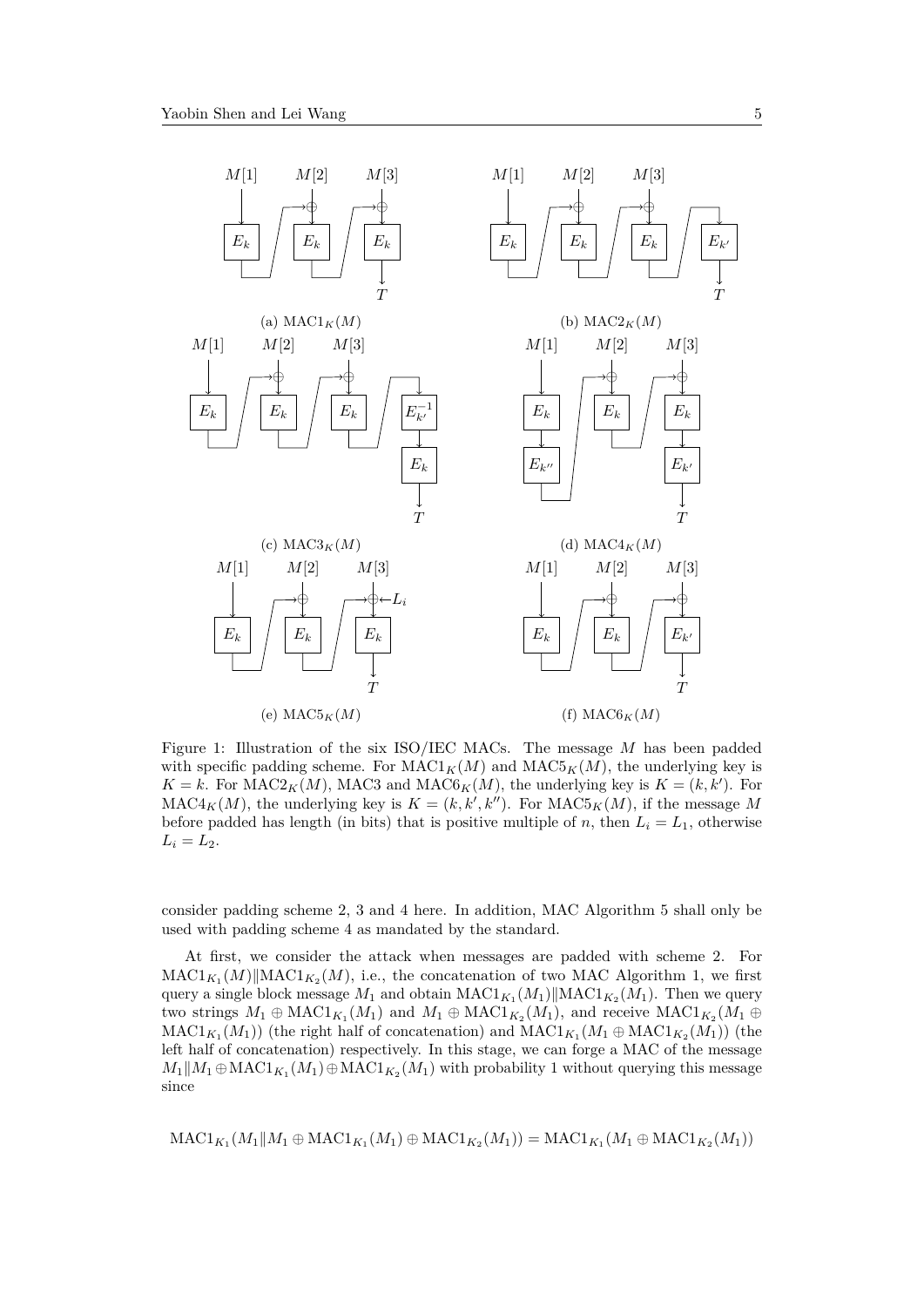

Figure 1: Illustration of the six ISO/IEC MACs. The message *M* has been padded with specific padding scheme. For  $\text{MAC1}_K(M)$  and  $\text{MAC5}_K(M)$ , the underlying key is  $K = k$ . For MAC2<sub>*K*</sub>(*M*), MAC3 and MAC6<sub>*K*</sub>(*M*), the underlying key is  $K = (k, k')$ . For  $MAC4<sub>K</sub>(M)$ , the underlying key is  $K = (k, k', k'')$ . For  $MAC5<sub>K</sub>(M)$ , if the message M before padded has length (in bits) that is positive multiple of *n*, then  $L_i = L_1$ , otherwise  $L_i = L_2$ .

consider padding scheme 2, 3 and 4 here. In addition, MAC Algorithm 5 shall only be used with padding scheme 4 as mandated by the standard.

At first, we consider the attack when messages are padded with scheme 2. For  $\text{MAC1}_{K_1}(M) \|\text{MAC1}_{K_2}(M), \text{ i.e., the concatenation of two MAC Algorithm 1, we first}$ query a single block message  $M_1$  and obtain  $\text{MAC1}_{K_1}(M_1) \|\text{MAC1}_{K_2}(M_1)$ . Then we query two strings  $M_1 \oplus \text{MAC1}_{K_1}(M_1)$  and  $M_1 \oplus \text{MAC1}_{K_2}(M_1)$ , and receive  $\text{MAC1}_{K_2}(M_1 \oplus$  $\mathrm{MAC1}_{K_1}(M_1)$ ) (the right half of concatenation) and  $\mathrm{MAC1}_{K_1}(M_1 \oplus \mathrm{MAC1}_{K_2}(M_1))$  (the left half of concatenation) respectively. In this stage, we can forge a MAC of the message  $M_1||M_1 \oplus MAC1_{K_1}(M_1) \oplus MAC1_{K_2}(M_1)$  with probability 1 without querying this message since

$$
\text{MAC1}_{K_1}(M_1 \| M_1 \oplus \text{MAC1}_{K_1}(M_1) \oplus \text{MAC1}_{K_2}(M_1)) = \text{MAC1}_{K_1}(M_1 \oplus \text{MAC1}_{K_2}(M_1))
$$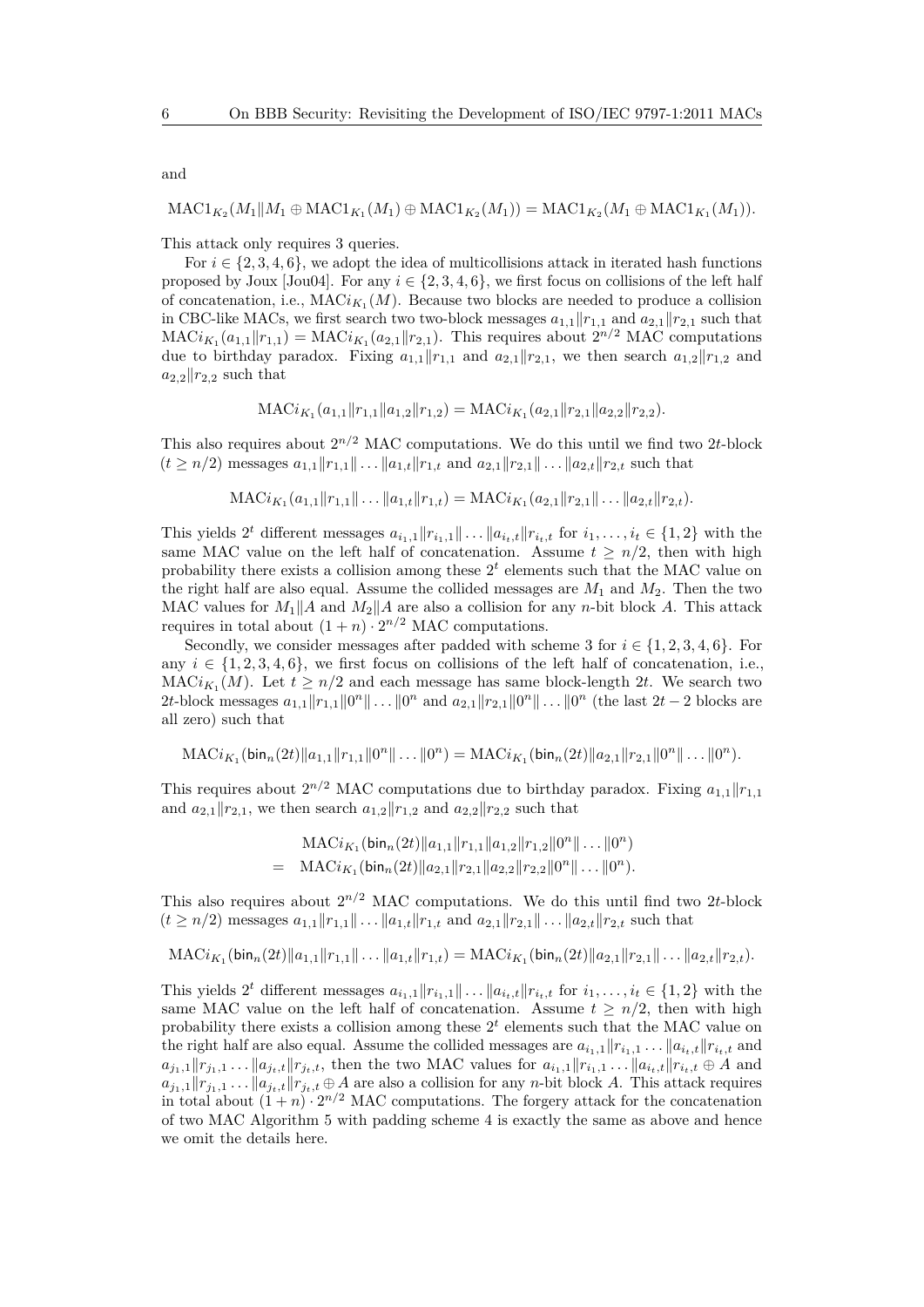and

$$
\text{MAC1}_{K_2}(M_1 \| M_1 \oplus \text{MAC1}_{K_1}(M_1) \oplus \text{MAC1}_{K_2}(M_1)) = \text{MAC1}_{K_2}(M_1 \oplus \text{MAC1}_{K_1}(M_1)).
$$

This attack only requires 3 queries.

For  $i \in \{2, 3, 4, 6\}$ , we adopt the idea of multicollisions attack in iterated hash functions proposed by Joux [Jou04]. For any  $i \in \{2, 3, 4, 6\}$ , we first focus on collisions of the left half of concatenation, i.e.,  $MACi_{K_1}(M)$ . Because two blocks are needed to produce a collision in CBC-like MACs, we first search two-block messages  $a_{1,1}||r_{1,1}$  and  $a_{2,1}||r_{2,1}$  such that  $MACi_{K_1}(a_{1,1}||r_{1,1}) = MACi_{K_1}(a_{2,1}||r_{2,1}).$  This requires about  $2^{n/2}$  MAC computations due to birthday paradox. Fixing  $a_{1,1}$   $||r_{1,1}$  and  $a_{2,1}$   $||r_{2,1}$ , we then search  $a_{1,2}$   $||r_{1,2}$  and  $a_{2,2}$  |*r*<sub>2,2</sub> such that

$$
\text{MACi}_{K_1}(a_{1,1}||r_{1,1}||a_{1,2}||r_{1,2}) = \text{MACi}_{K_1}(a_{2,1}||r_{2,1}||a_{2,2}||r_{2,2}).
$$

This also requires about  $2^{n/2}$  MAC computations. We do this until we find two 2*t*-block  $(t \ge n/2)$  messages  $a_{1,1}||r_{1,1}|| \dots ||a_{1,t}||r_{1,t}$  and  $a_{2,1}||r_{2,1}|| \dots ||a_{2,t}||r_{2,t}$  such that

$$
\text{MACi}_{K_1}(a_{1,1}\|r_{1,1}\|\ldots\|a_{1,t}\|r_{1,t}) = \text{MACi}_{K_1}(a_{2,1}\|r_{2,1}\|\ldots\|a_{2,t}\|r_{2,t}).
$$

This yields  $2^t$  different messages  $a_{i_1,1} || r_{i_1,1} || \dots || a_{i_t,t} || r_{i_t,t}$  for  $i_1,\dots,i_t \in \{1,2\}$  with the same MAC value on the left half of concatenation. Assume  $t > n/2$ , then with high probability there exists a collision among these  $2<sup>t</sup>$  elements such that the MAC value on the right half are also equal. Assume the collided messages are  $M_1$  and  $M_2$ . Then the two MAC values for  $M_1||A$  and  $M_2||A$  are also a collision for any *n*-bit block *A*. This attack requires in total about  $(1+n) \cdot 2^{n/2}$  MAC computations.

Secondly, we consider messages after padded with scheme 3 for  $i \in \{1, 2, 3, 4, 6\}$ . For any  $i \in \{1, 2, 3, 4, 6\}$ , we first focus on collisions of the left half of concatenation, i.e.,  $MACi_{K_1}(M)$ . Let  $t \geq n/2$  and each message has same block-length 2*t*. We search two 2*t*-block messages  $a_{1,1} \|r_{1,1}\| 0^n \| \dots \| 0^n$  and  $a_{2,1} \|r_{2,1}\| 0^n \| \dots \| 0^n$  (the last  $2t - 2$  blocks are all zero) such that

$$
\text{MAC}_{i_{K_1}}(\text{bin}_n(2t)\|a_{1,1}\|r_{1,1}\|0^n\|\dots\|0^n) = \text{MAC}_{i_{K_1}}(\text{bin}_n(2t)\|a_{2,1}\|r_{2,1}\|0^n\|\dots\|0^n).
$$

This requires about  $2^{n/2}$  MAC computations due to birthday paradox. Fixing  $a_{1,1}||r_{1,1}$ and  $a_{2,1}$   $\|r_{2,1}$ , we then search  $a_{1,2}$   $\|r_{1,2}$  and  $a_{2,2}$   $\|r_{2,2}$  such that

$$
\begin{aligned}\n&\text{MACi}_{K_1}(\text{bin}_n(2t) \|a_{1,1}\|r_{1,1}\|a_{1,2}\|r_{1,2}\|0^n\|\dots\|0^n) \\
&= \text{MACi}_{K_1}(\text{bin}_n(2t) \|a_{2,1}\|r_{2,1}\|a_{2,2}\|r_{2,2}\|0^n\|\dots\|0^n).\n\end{aligned}
$$

This also requires about  $2^{n/2}$  MAC computations. We do this until find two 2*t*-block  $(t \ge n/2)$  messages  $a_{1,1}||r_{1,1}|| \dots ||a_{1,t}||r_{1,t}$  and  $a_{2,1}||r_{2,1}|| \dots ||a_{2,t}||r_{2,t}$  such that

$$
\text{MAC}_{K_1}(\text{bin}_{n}(2t)||a_{1,1}||r_{1,1}|| \dots ||a_{1,t}||r_{1,t}) = \text{MAC}_{K_1}(\text{bin}_{n}(2t)||a_{2,1}||r_{2,1}|| \dots ||a_{2,t}||r_{2,t}).
$$

This yields  $2^t$  different messages  $a_{i_1,1} || r_{i_1,1} || \dots || a_{i_t,t} || r_{i_t,t}$  for  $i_1,\dots,i_t \in \{1,2\}$  with the same MAC value on the left half of concatenation. Assume  $t \geq n/2$ , then with high probability there exists a collision among these  $2<sup>t</sup>$  elements such that the MAC value on the right half are also equal. Assume the collided messages are  $a_{i_1,1}$   $\|r_{i_1,1} \dots \|r_{i_t,t}\|$  and  $a_{j_1,1} \|r_{j_1,1} \dots \|r_{j_t,t}\| r_{j_t,t}$ , then the two MAC values for  $a_{i_1,1} \|r_{i_1,1} \dots \|r_{i_t,t}\| r_{i_t,t} \oplus A$  and  $a_{j_1,1} \|r_{j_1,1} \dots \|r_{j_t,t}\|$   $\theta$  are also a collision for any *n*-bit block A. This attack requires in total about  $(1+n) \cdot 2^{n/2}$  MAC computations. The forgery attack for the concatenation of two MAC Algorithm 5 with padding scheme 4 is exactly the same as above and hence we omit the details here.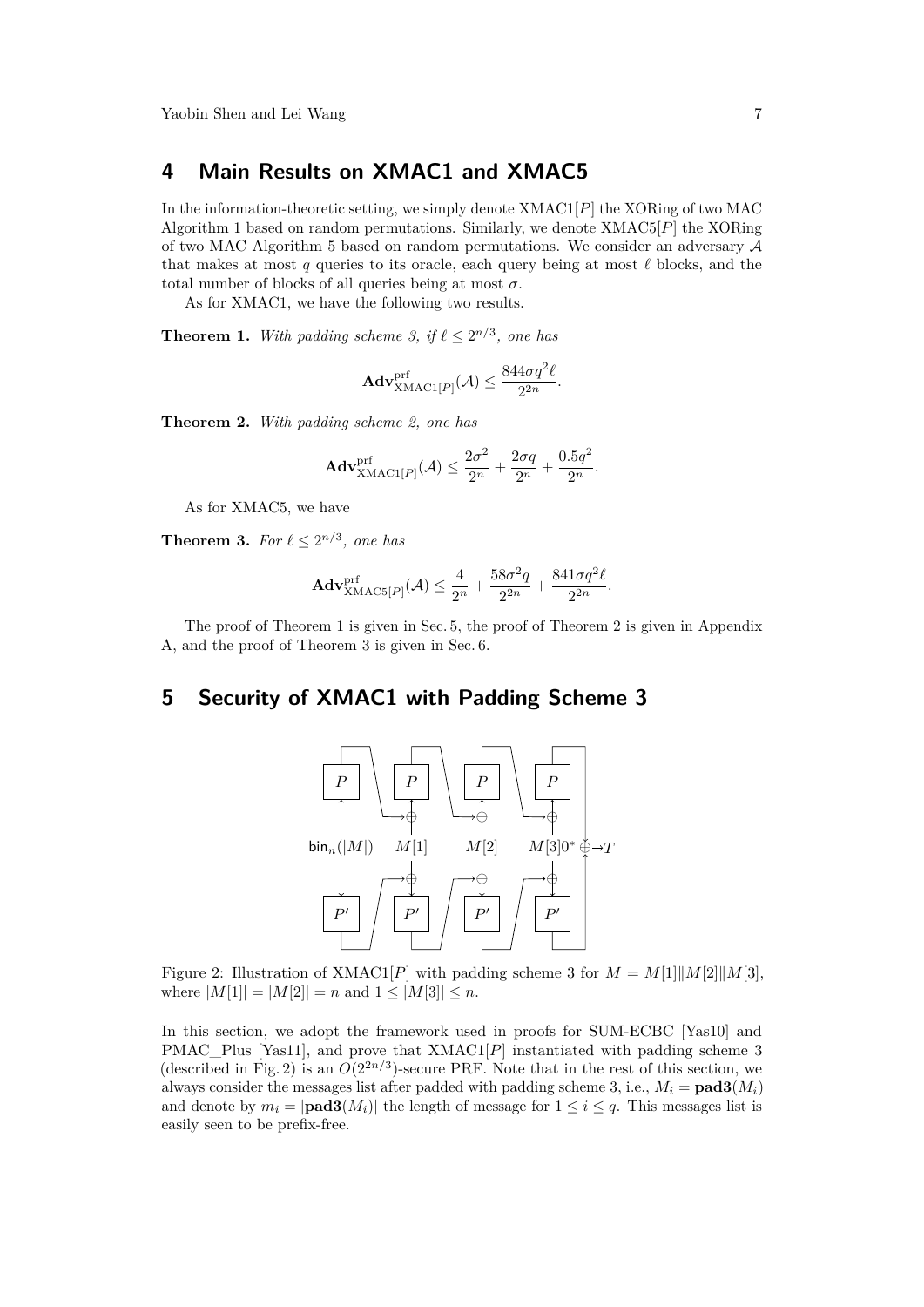# **4 Main Results on XMAC1 and XMAC5**

In the information-theoretic setting, we simply denote XMAC1[*P*] the XORing of two MAC Algorithm 1 based on random permutations. Similarly, we denote XMAC5[*P*] the XORing of two MAC Algorithm 5 based on random permutations. We consider an adversary  $A$ that makes at most *q* queries to its oracle, each query being at most  $\ell$  blocks, and the total number of blocks of all queries being at most *σ*.

As for XMAC1, we have the following two results.

**Theorem 1.** With padding scheme 3, if  $\ell \leq 2^{n/3}$ , one has

$$
\mathbf{Adv}_{\mathrm{XMAC1}[P]}^{\mathrm{prf}}(\mathcal{A}) \leq \frac{844\sigma q^2 \ell}{2^{2n}}.
$$

**Theorem 2.** *With padding scheme 2, one has*

$$
\mathbf{Adv}_{\mathbf{XMAC1}[P]}^{\text{prf}}(\mathcal{A}) \le \frac{2\sigma^2}{2^n} + \frac{2\sigma q}{2^n} + \frac{0.5q^2}{2^n}.
$$

As for XMAC5, we have

**Theorem 3.** For  $\ell \leq 2^{n/3}$ , one has

$$
\mathbf{Adv}_{\mathbf{XMAC5}[P]}^{\text{prf}}(\mathcal{A}) \le \frac{4}{2^n} + \frac{58\sigma^2 q}{2^{2n}} + \frac{841\sigma q^2 \ell}{2^{2n}}.
$$

The proof of Theorem 1 is given in Sec. 5, the proof of Theorem 2 is given in Appendix A, and the proof of Theorem 3 is given in Sec. 6.

## **5 Security of XMAC1 with Padding Scheme 3**



Figure 2: Illustration of XMAC1[*P*] with padding scheme 3 for  $M = M[1]$ || $M[2]$ || $M[3]$ , where  $|M[1]| = |M[2]| = n$  and  $1 \leq |M[3]| \leq n$ .

In this section, we adopt the framework used in proofs for SUM-ECBC [Yas10] and PMAC Plus [Yas11], and prove that XMAC1[*P*] instantiated with padding scheme 3 (described in Fig. 2) is an  $O(2^{2n/3})$ -secure PRF. Note that in the rest of this section, we always consider the messages list after padded with padding scheme 3, i.e.,  $M_i = \text{pad3}(M_i)$ and denote by  $m_i = |\text{pad3}(M_i)|$  the length of message for  $1 \leq i \leq q$ . This messages list is easily seen to be prefix-free.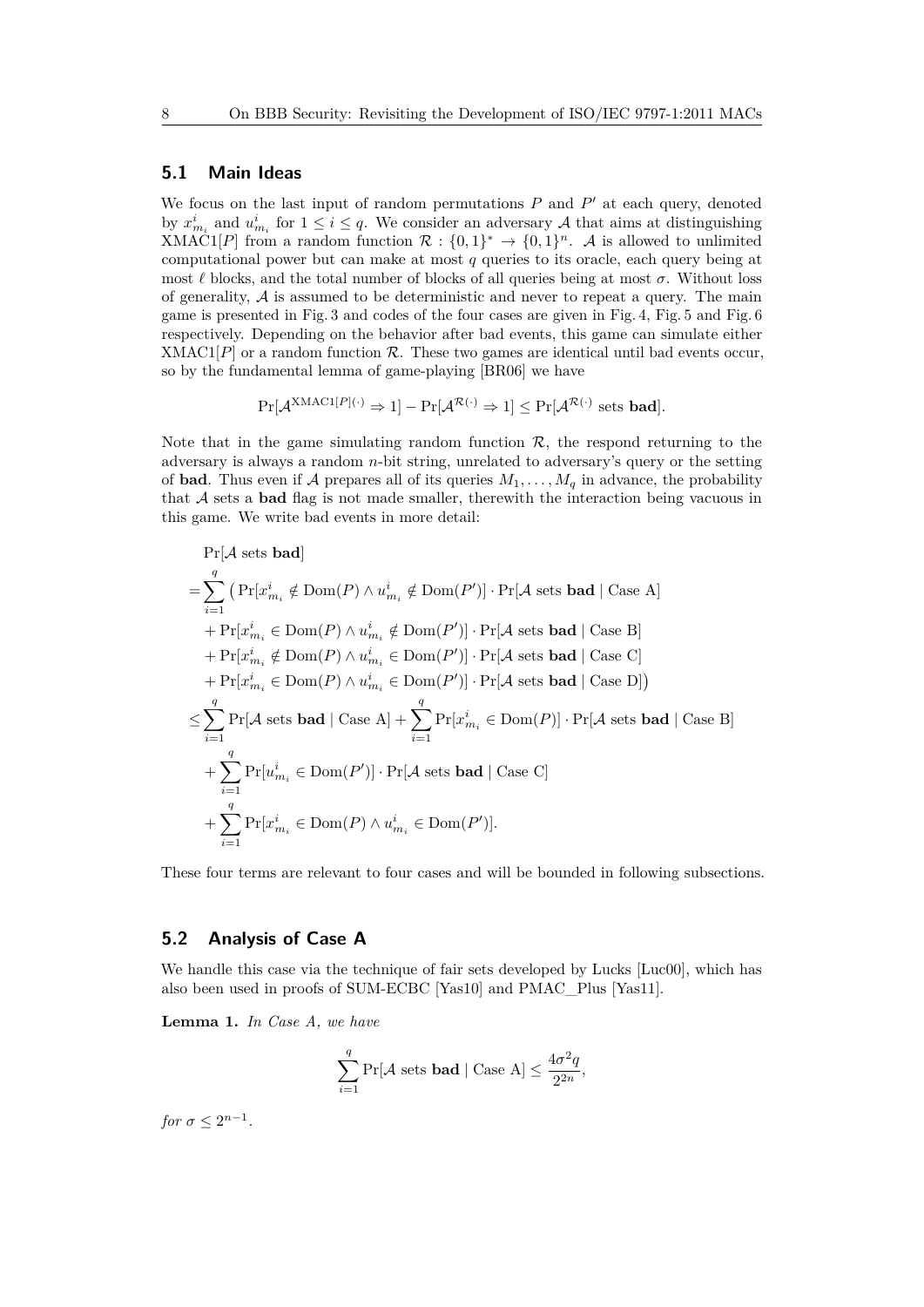#### **5.1 Main Ideas**

We focus on the last input of random permutations  $P$  and  $P'$  at each query, denoted by  $x_{m_i}^i$  and  $u_{m_i}^i$  for  $1 \leq i \leq q$ . We consider an adversary A that aims at distinguishing XMAC1[*P*] from a random function  $\mathcal{R}:\{0,1\}^* \to \{0,1\}^n$ . A is allowed to unlimited computational power but can make at most *q* queries to its oracle, each query being at most  $\ell$  blocks, and the total number of blocks of all queries being at most  $\sigma$ . Without loss of generality,  $A$  is assumed to be deterministic and never to repeat a query. The main game is presented in Fig. 3 and codes of the four cases are given in Fig. 4, Fig. 5 and Fig. 6 respectively. Depending on the behavior after bad events, this game can simulate either XMAC<sub>1</sub> $[P]$  or a random function  $R$ . These two games are identical until bad events occur, so by the fundamental lemma of game-playing [BR06] we have

$$
\Pr[\mathcal{A}^{\mathsf{XMAC1}[P](\cdot)} \Rightarrow 1] - \Pr[\mathcal{A}^{\mathcal{R}(\cdot)} \Rightarrow 1] \le \Pr[\mathcal{A}^{\mathcal{R}(\cdot)} \text{ sets } \mathbf{bad}].
$$

Note that in the game simulating random function  $\mathcal{R}$ , the respond returning to the adversary is always a random *n*-bit string, unrelated to adversary's query or the setting of **bad**. Thus even if A prepares all of its queries  $M_1, \ldots, M_q$  in advance, the probability that A sets a **bad** flag is not made smaller, therewith the interaction being vacuous in this game. We write bad events in more detail:

$$
\Pr[\mathcal{A} \text{ sets } \text{bad}]
$$
\n
$$
= \sum_{i=1}^{q} \left( \Pr[x_{m_i}^i \notin \text{Dom}(P) \land u_{m_i}^i \notin \text{Dom}(P') \right] \cdot \Pr[\mathcal{A} \text{ sets } \text{bad} \mid \text{Case A}]
$$
\n
$$
+ \Pr[x_{m_i}^i \in \text{Dom}(P) \land u_{m_i}^i \notin \text{Dom}(P')] \cdot \Pr[\mathcal{A} \text{ sets } \text{bad} \mid \text{Case B}]
$$
\n
$$
+ \Pr[x_{m_i}^i \notin \text{Dom}(P) \land u_{m_i}^i \in \text{Dom}(P')] \cdot \Pr[\mathcal{A} \text{ sets } \text{bad} \mid \text{Case C}]
$$
\n
$$
+ \Pr[x_{m_i}^i \in \text{Dom}(P) \land u_{m_i}^i \in \text{Dom}(P')] \cdot \Pr[\mathcal{A} \text{ sets } \text{bad} \mid \text{Case D}]
$$
\n
$$
\leq \sum_{i=1}^{q} \Pr[\mathcal{A} \text{ sets } \text{bad} \mid \text{Case A}] + \sum_{i=1}^{q} \Pr[x_{m_i}^i \in \text{Dom}(P)] \cdot \Pr[\mathcal{A} \text{ sets } \text{bad} \mid \text{Case B}]
$$
\n
$$
+ \sum_{i=1}^{q} \Pr[u_{m_i}^i \in \text{Dom}(P')] \cdot \Pr[\mathcal{A} \text{ sets } \text{bad} \mid \text{Case C}]
$$
\n
$$
+ \sum_{i=1}^{q} \Pr[x_{m_i}^i \in \text{Dom}(P) \land u_{m_i}^i \in \text{Dom}(P')].
$$

These four terms are relevant to four cases and will be bounded in following subsections.

#### **5.2 Analysis of Case A**

We handle this case via the technique of fair sets developed by Lucks [Luc00], which has also been used in proofs of SUM-ECBC [Yas10] and PMAC\_Plus [Yas11].

**Lemma 1.** *In Case A, we have*

$$
\sum_{i=1}^{q} \Pr[\mathcal{A} \text{ sets } \mathbf{bad} \mid \text{Case A}] \le \frac{4\sigma^2 q}{2^{2n}},
$$

*for*  $\sigma \leq 2^{n-1}$ .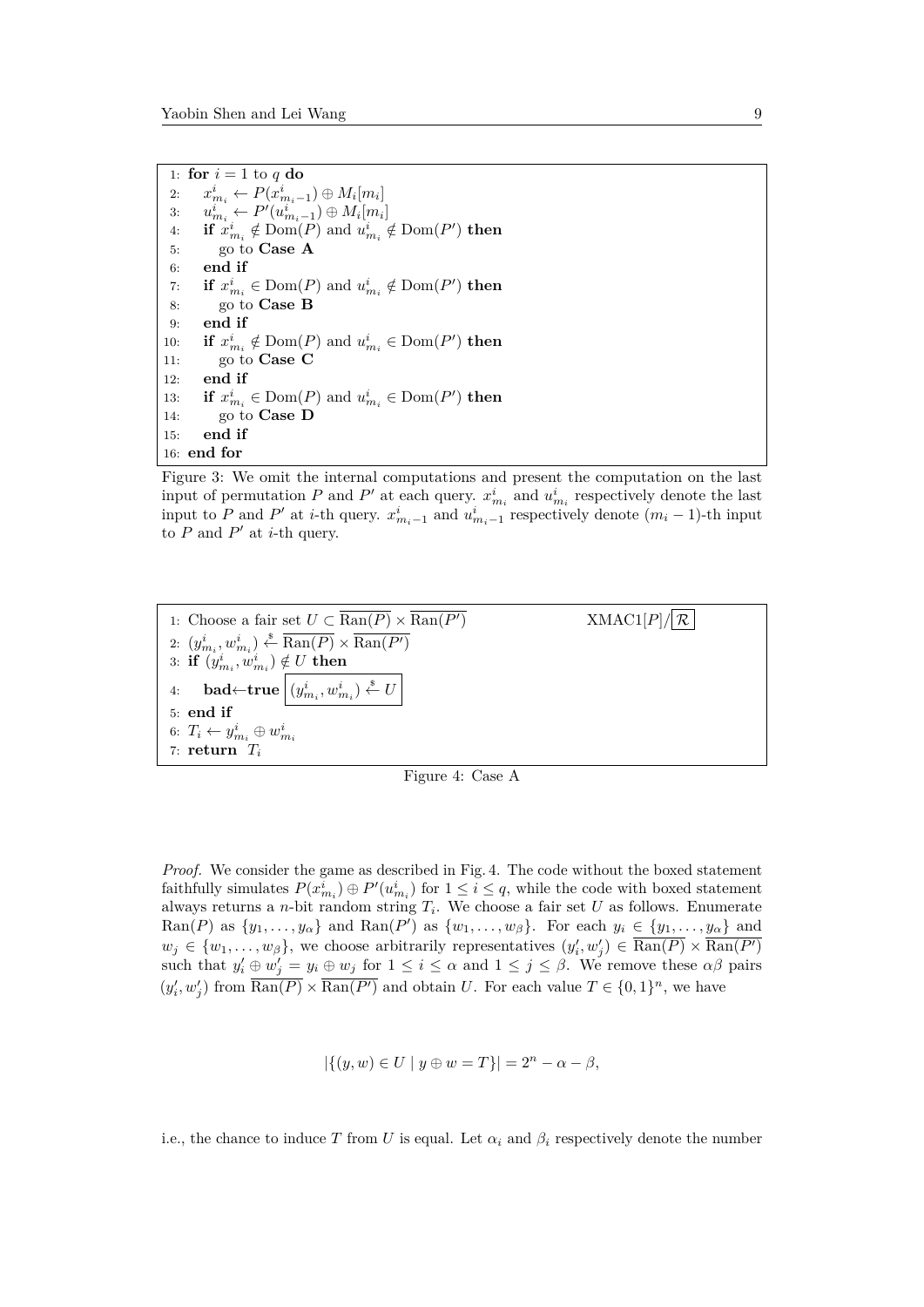1: **for**  $i = 1$  to  $q$  **do** 2:  $x_{m_i}^i \leftarrow P(x_{m_i-1}^i) \oplus M_i[m_i]$ 3:  $u_{m_i}^i \leftarrow P'(u_{m_i-1}^i) \oplus M_i[m_i]$ 4: **if**  $x_{m_i}^i \notin \text{Dom}(P)$  and  $u_{m_i}^i \notin \text{Dom}(P')$  then 5: go to **Case A** 6: **end if** 7: **if**  $x_{m_i}^i \in \text{Dom}(P)$  and  $u_{m_i}^i \notin \text{Dom}(P')$  then 8: go to **Case B** 9: **end if** 10: **if**  $x_{m_i}^i \notin \text{Dom}(P)$  and  $u_{m_i}^i \in \text{Dom}(P')$  then 11: go to **Case C** 12: **end if** 13: **if**  $x_{m_i}^i \in \text{Dom}(P)$  and  $u_{m_i}^i \in \text{Dom}(P')$  then 14: go to **Case D** 15: **end if** 16: **end for**

Figure 3: We omit the internal computations and present the computation on the last input of permutation *P* and *P*<sup>'</sup> at each query.  $x_{m_i}^i$  and  $u_{m_i}^i$  respectively denote the last input to *P* and *P*<sup>'</sup> at *i*-th query.  $x_{m_i-1}^i$  and  $u_{m_i-1}^i$  respectively denote  $(m_i-1)$ -th input to  $P$  and  $P'$  at *i*-th query.



Figure 4: Case A

*Proof.* We consider the game as described in Fig. 4. The code without the boxed statement faithfully simulates  $P(x_{m_i}^i) \oplus P'(u_{m_i}^i)$  for  $1 \leq i \leq q$ , while the code with boxed statement always returns a *n*-bit random string  $T_i$ . We choose a fair set  $U$  as follows. Enumerate  $\text{Ran}(P)$  as  $\{y_1, \ldots, y_\alpha\}$  and  $\text{Ran}(P')$  as  $\{w_1, \ldots, w_\beta\}$ . For each  $y_i \in \{y_1, \ldots, y_\alpha\}$  and  $w_j \in \{w_1, \ldots, w_\beta\}$ , we choose arbitrarily representatives  $(y'_i, w'_j) \in \overline{\text{Ran}(P)} \times \overline{\text{Ran}(P')}$ such that  $y'_i \oplus w'_j = y_i \oplus w_j$  for  $1 \leq i \leq \alpha$  and  $1 \leq j \leq \beta$ . We remove these  $\alpha\beta$  pairs  $(y'_i, w'_j)$  from  $\overline{\text{Ran}(P)} \times \overline{\text{Ran}(P')}$  and obtain *U*. For each value  $T \in \{0, 1\}^n$ , we have

$$
|\{(y, w) \in U \mid y \oplus w = T\}| = 2n - \alpha - \beta,
$$

i.e., the chance to induce *T* from *U* is equal. Let  $\alpha_i$  and  $\beta_i$  respectively denote the number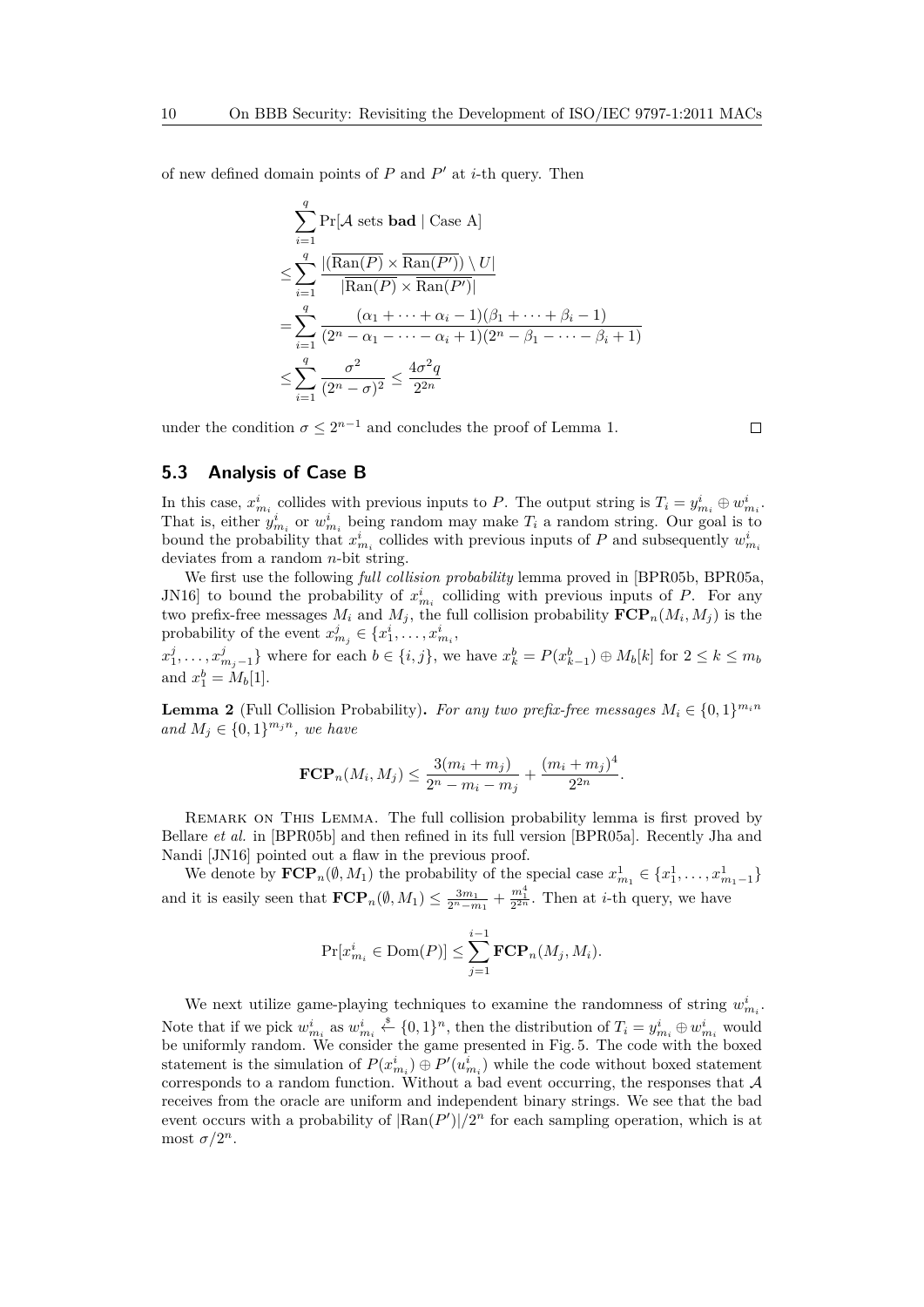of new defined domain points of  $P$  and  $P'$  at *i*-th query. Then

$$
\sum_{i=1}^{q} \Pr[\mathcal{A} \text{ sets } \mathbf{bad} \mid \text{Case A}]
$$
\n
$$
\leq \sum_{i=1}^{q} \frac{|(\overline{\text{Ran}(P)} \times \overline{\text{Ran}(P'))} \setminus U|}{|\overline{\text{Ran}(P)} \times \overline{\text{Ran}(P')}|}
$$
\n
$$
= \sum_{i=1}^{q} \frac{(\alpha_1 + \dots + \alpha_i - 1)(\beta_1 + \dots + \beta_i - 1)}{(2^n - \alpha_1 - \dots - \alpha_i + 1)(2^n - \beta_1 - \dots - \beta_i + 1)}
$$
\n
$$
\leq \sum_{i=1}^{q} \frac{\sigma^2}{(2^n - \sigma)^2} \leq \frac{4\sigma^2 q}{2^{2n}}
$$

under the condition  $\sigma \leq 2^{n-1}$  and concludes the proof of Lemma 1.

 $\Box$ 

## **5.3 Analysis of Case B**

In this case,  $x_{m_i}^i$  collides with previous inputs to *P*. The output string is  $T_i = y_{m_i}^i \oplus w_{m_i}^i$ . That is, either  $y_{m_i}^i$  or  $w_{m_i}^i$  being random may make  $T_i$  a random string. Our goal is to bound the probability that  $x_{m_i}^i$  collides with previous inputs of *P* and subsequently  $w_{m_i}^i$ deviates from a random *n*-bit string.

We first use the following *full collision probability* lemma proved in [BPR05b, BPR05a, JN16 to bound the probability of  $x_{m_i}^i$  colliding with previous inputs of *P*. For any two prefix-free messages  $M_i$  and  $M_j$ , the full collision probability  $\text{FCP}_n(M_i, M_j)$  is the probability of the event  $x_{m_j}^j \in \{x_1^i, \ldots, x_{m_i}^i, \ldots\}$ 

 $x_1^j, \ldots, x_{m_j-1}^j\}$  where for each  $b \in \{i, j\}$ , we have  $x_k^b = P(x_{k-1}^b) \oplus M_b[k]$  for  $2 \leq k \leq m_b$ and  $x_1^b = M_b[1]$ .

**Lemma 2** (Full Collision Probability). *For any two prefix-free messages*  $M_i \in \{0, 1\}^{m_i n}$ *and*  $M_j$  ∈ {0, 1}<sup>*m<sub>j</sub>n</sup>, we have*</sup>

$$
\text{FCP}_n(M_i, M_j) \le \frac{3(m_i + m_j)}{2^n - m_i - m_j} + \frac{(m_i + m_j)^4}{2^{2n}}.
$$

Remark on This Lemma. The full collision probability lemma is first proved by Bellare *et al.* in [BPR05b] and then refined in its full version [BPR05a]. Recently Jha and Nandi [JN16] pointed out a flaw in the previous proof.

We denote by  $\mathbf{FCP}_n(\emptyset, M_1)$  the probability of the special case  $x_{m_1}^1 \in \{x_1^1, \ldots, x_{m_1-1}^1\}$ and it is easily seen that  $\mathbf{FCP}_n(\emptyset, M_1) \leq \frac{3m_1}{2^n - m_1} + \frac{m_1^4}{2^{2n}}$ . Then at *i*-th query, we have

$$
\Pr[x_{m_i}^i \in \text{Dom}(P)] \le \sum_{j=1}^{i-1} \text{FCP}_n(M_j, M_i).
$$

We next utilize game-playing techniques to examine the randomness of string  $w_{m_i}^i$ . Note that if we pick  $w_{m_i}^i$  as  $w_{m_i}^i \stackrel{\$}{\leftarrow} \{0,1\}^n$ , then the distribution of  $T_i = y_{m_i}^i \oplus w_{m_i}^i$  would be uniformly random. We consider the game presented in Fig. 5. The code with the boxed statement is the simulation of  $P(x_{m_i}^i) \oplus P'(u_{m_i}^i)$  while the code without boxed statement corresponds to a random function. Without a bad event occurring, the responses that  $A$ receives from the oracle are uniform and independent binary strings. We see that the bad event occurs with a probability of  $\left|\text{Ran}(P')\right|/2^n$  for each sampling operation, which is at most  $\sigma/2^n$ .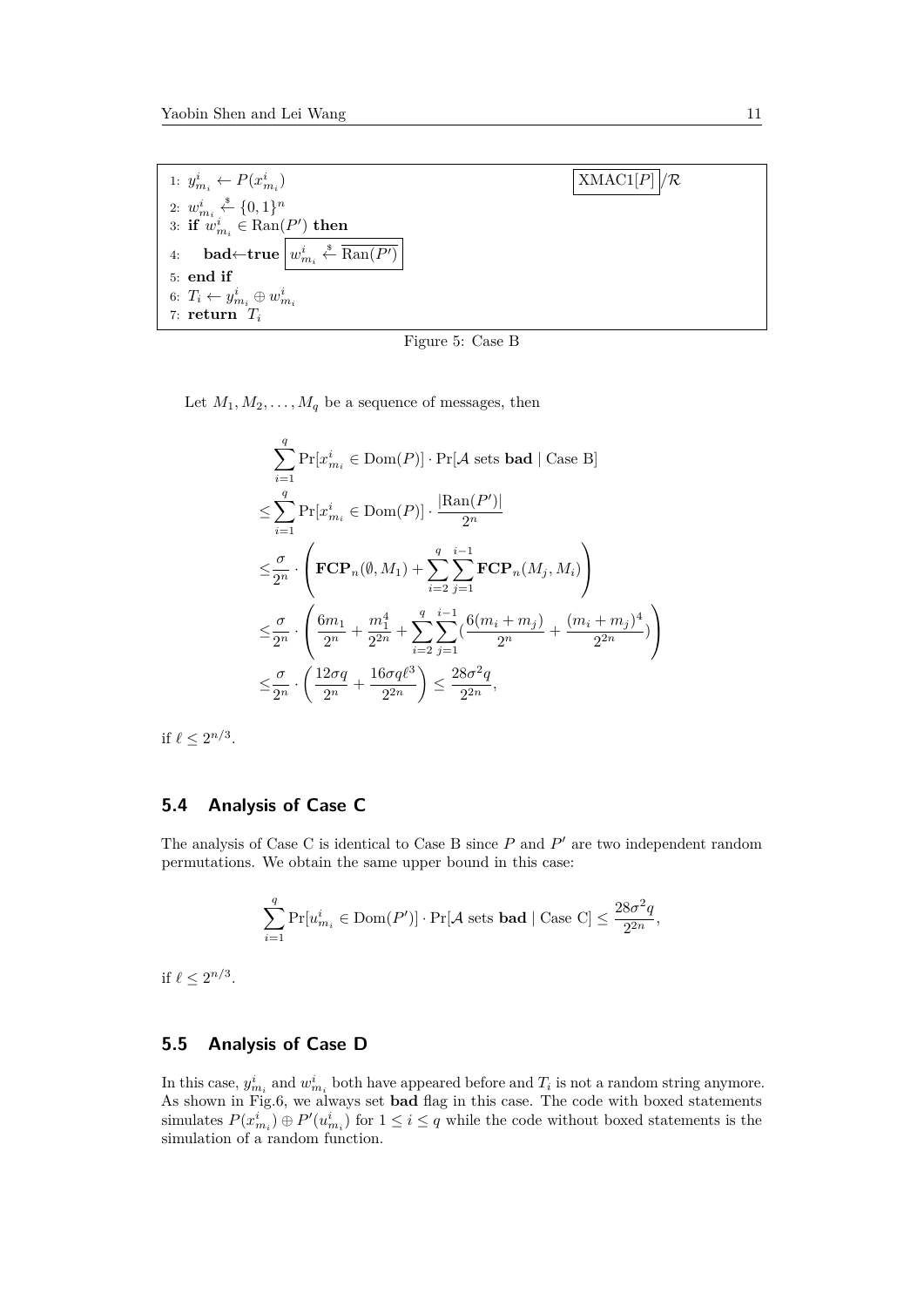

Figure 5: Case B

Let  $M_1, M_2, \ldots, M_q$  be a sequence of messages, then

$$
\sum_{i=1}^{q} \Pr[x_{m_i}^i \in \text{Dom}(P)] \cdot \Pr[\mathcal{A} \text{ sets } \text{bad} \mid \text{Case B}]
$$
\n
$$
\leq \sum_{i=1}^{q} \Pr[x_{m_i}^i \in \text{Dom}(P)] \cdot \frac{|\text{Ran}(P')|}{2^n}
$$
\n
$$
\leq \frac{\sigma}{2^n} \cdot \left( \text{FCP}_n(\emptyset, M_1) + \sum_{i=2}^{q} \sum_{j=1}^{i-1} \text{FCP}_n(M_j, M_i) \right)
$$
\n
$$
\leq \frac{\sigma}{2^n} \cdot \left( \frac{6m_1}{2^n} + \frac{m_1^4}{2^{2n}} + \sum_{i=2}^{q} \sum_{j=1}^{i-1} \left( \frac{6(m_i + m_j)}{2^n} + \frac{(m_i + m_j)^4}{2^{2n}} \right) \right)
$$
\n
$$
\leq \frac{\sigma}{2^n} \cdot \left( \frac{12\sigma q}{2^n} + \frac{16\sigma q \ell^3}{2^{2n}} \right) \leq \frac{28\sigma^2 q}{2^{2n}},
$$

if  $\ell \leq 2^{n/3}$ .

## **5.4 Analysis of Case C**

The analysis of Case C is identical to Case B since  $P$  and  $P'$  are two independent random permutations. We obtain the same upper bound in this case:

$$
\sum_{i=1}^q \Pr[u^i_{m_i} \in \text{Dom}(P')] \cdot \Pr[\mathcal{A} \text{ sets } \textbf{bad} \mid \text{Case C}] \leq \frac{28\sigma^2q}{2^{2n}},
$$

if  $\ell \leq 2^{n/3}$ .

## **5.5 Analysis of Case D**

In this case,  $y_{m_i}^i$  and  $w_{m_i}^i$  both have appeared before and  $T_i$  is not a random string anymore. As shown in Fig.6, we always set **bad** flag in this case. The code with boxed statements simulates  $P(x_{m_i}^i) \oplus P'(u_{m_i}^i)$  for  $1 \leq i \leq q$  while the code without boxed statements is the simulation of a random function.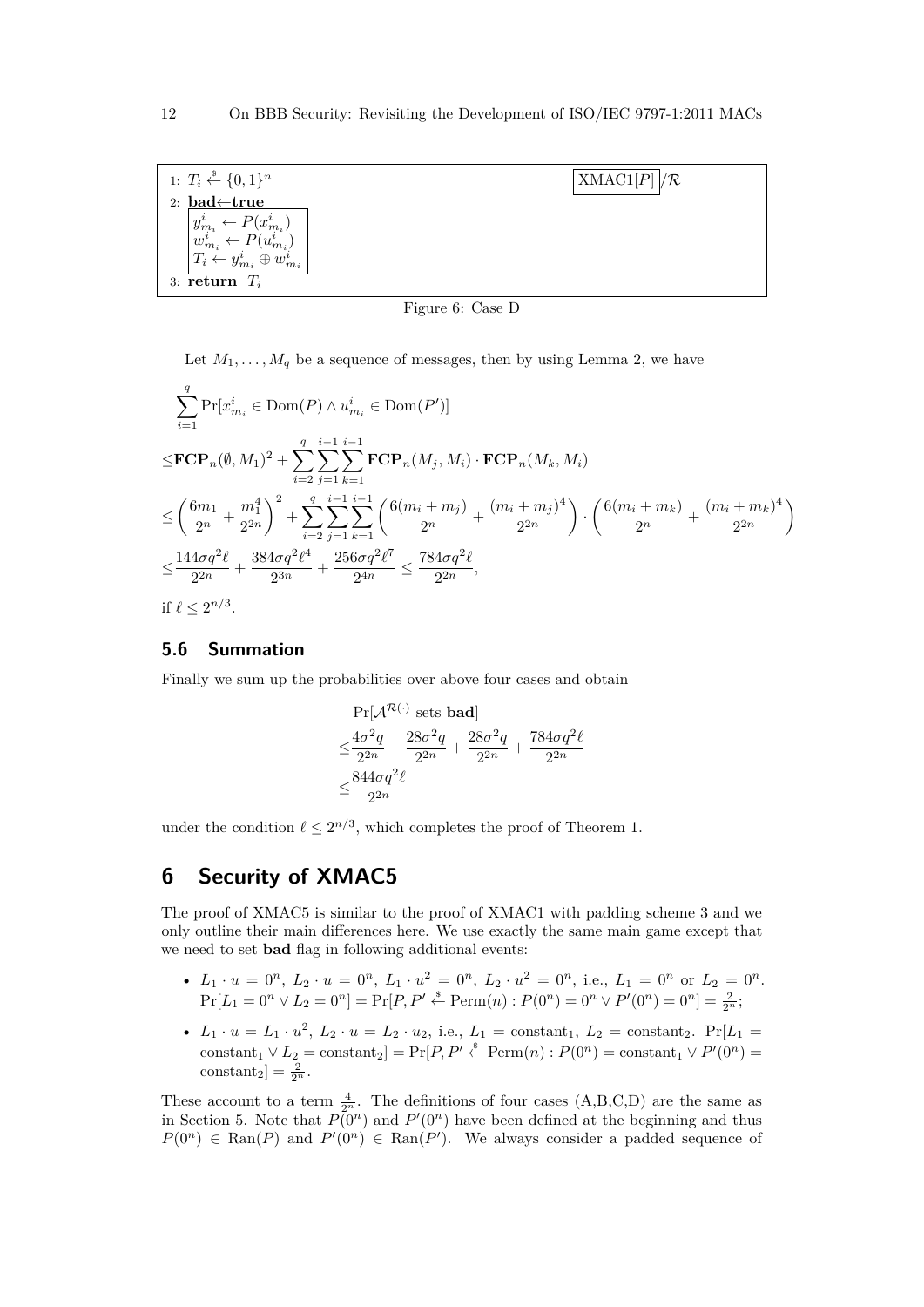| 1: $T_i \xleftarrow{\$} \{0,1\}^n$                        | $\text{XMAC1}[P]/\mathcal{R}$ |
|-----------------------------------------------------------|-------------------------------|
| 2: bad $\leftarrow$ true                                  |                               |
| $-P(x_{m_i}^i)$                                           |                               |
| $\begin{array}{c} \mid y_{m_i}^i\\ w_{m_i}^i \end{array}$ |                               |
| $T_i$ .<br>$\oplus w_{m_{i}}^{i}$                         |                               |
| 3: return $T_i$                                           |                               |

Figure 6: Case D

Let  $M_1, \ldots, M_q$  be a sequence of messages, then by using Lemma 2, we have

$$
\sum_{i=1}^{q} \Pr[x_{m_i}^i \in \text{Dom}(P) \land u_{m_i}^i \in \text{Dom}(P')] \leq \mathbf{FCP}_n(\emptyset, M_1)^2 + \sum_{i=2}^{q} \sum_{j=1}^{i-1} \sum_{k=1}^{i-1} \mathbf{FCP}_n(M_j, M_i) \cdot \mathbf{FCP}_n(M_k, M_i) \leq \left(\frac{6m_1}{2^n} + \frac{m_1^4}{2^{2n}}\right)^2 + \sum_{i=2}^{q} \sum_{j=1}^{i-1} \sum_{k=1}^{i-1} \left(\frac{6(m_i + m_j)}{2^n} + \frac{(m_i + m_j)^4}{2^{2n}}\right) \cdot \left(\frac{6(m_i + m_k)}{2^n} + \frac{(m_i + m_k)^4}{2^{2n}}\right) \leq \frac{144\sigma q^2 \ell}{2^{2n}} + \frac{384\sigma q^2 \ell^4}{2^{3n}} + \frac{256\sigma q^2 \ell^7}{2^{4n}} \leq \frac{784\sigma q^2 \ell}{2^{2n}},
$$

if  $\ell \leq 2^{n/3}$ .

## **5.6 Summation**

Finally we sum up the probabilities over above four cases and obtain

$$
\begin{aligned} &\Pr[\mathcal{A}^{\mathcal{R}(\cdot)} \text{ sets bad}] \\ &\leq \frac{4\sigma^2q}{2^{2n}} + \frac{28\sigma^2q}{2^{2n}} + \frac{28\sigma^2q}{2^{2n}} + \frac{784\sigma q^2\ell}{2^{2n}} \\ &\leq \frac{844\sigma q^2\ell}{2^{2n}} \end{aligned}
$$

under the condition  $\ell \leq 2^{n/3}$ , which completes the proof of Theorem 1.

# **6 Security of XMAC5**

The proof of XMAC5 is similar to the proof of XMAC1 with padding scheme 3 and we only outline their main differences here. We use exactly the same main game except that we need to set **bad** flag in following additional events:

- $L_1 \cdot u = 0^n$ ,  $L_2 \cdot u = 0^n$ ,  $L_1 \cdot u^2 = 0^n$ ,  $L_2 \cdot u^2 = 0^n$ , i.e.,  $L_1 = 0^n$  or  $L_2 = 0^n$ .  $\Pr[L_1 = 0^n \vee L_2 = 0^n] = \Pr[P, P' \stackrel{\$}{\leftarrow} \text{Perm}(n) : P(0^n) = 0^n \vee P'(0^n) = 0^n] = \frac{2}{2^n};$
- $L_1 \cdot u = L_1 \cdot u^2$ ,  $L_2 \cdot u = L_2 \cdot u_2$ , i.e.,  $L_1 = \text{constant}_1$ ,  $L_2 = \text{constant}_2$ .  $Pr[L_1 =$ constant<sub>1</sub>  $\vee$  *L*<sub>2</sub> = constant<sub>2</sub>] = Pr[*P*, *P*<sup> $\wedge$ </sup>  $\stackrel{\$}{\leftarrow}$  Perm $(n)$  :  $P(0^n)$  = constant<sub>1</sub>  $\vee$   $P'(0^n)$  = constant<sub>2</sub>] =  $\frac{2}{2^n}$ .

These account to a term  $\frac{4}{2^n}$ . The definitions of four cases  $(A,B,C,D)$  are the same as in Section 5. Note that  $P(0^n)$  and  $P'(0^n)$  have been defined at the beginning and thus  $P(0^n) \in \text{Ran}(P)$  and  $P'(0^n) \in \text{Ran}(P')$ . We always consider a padded sequence of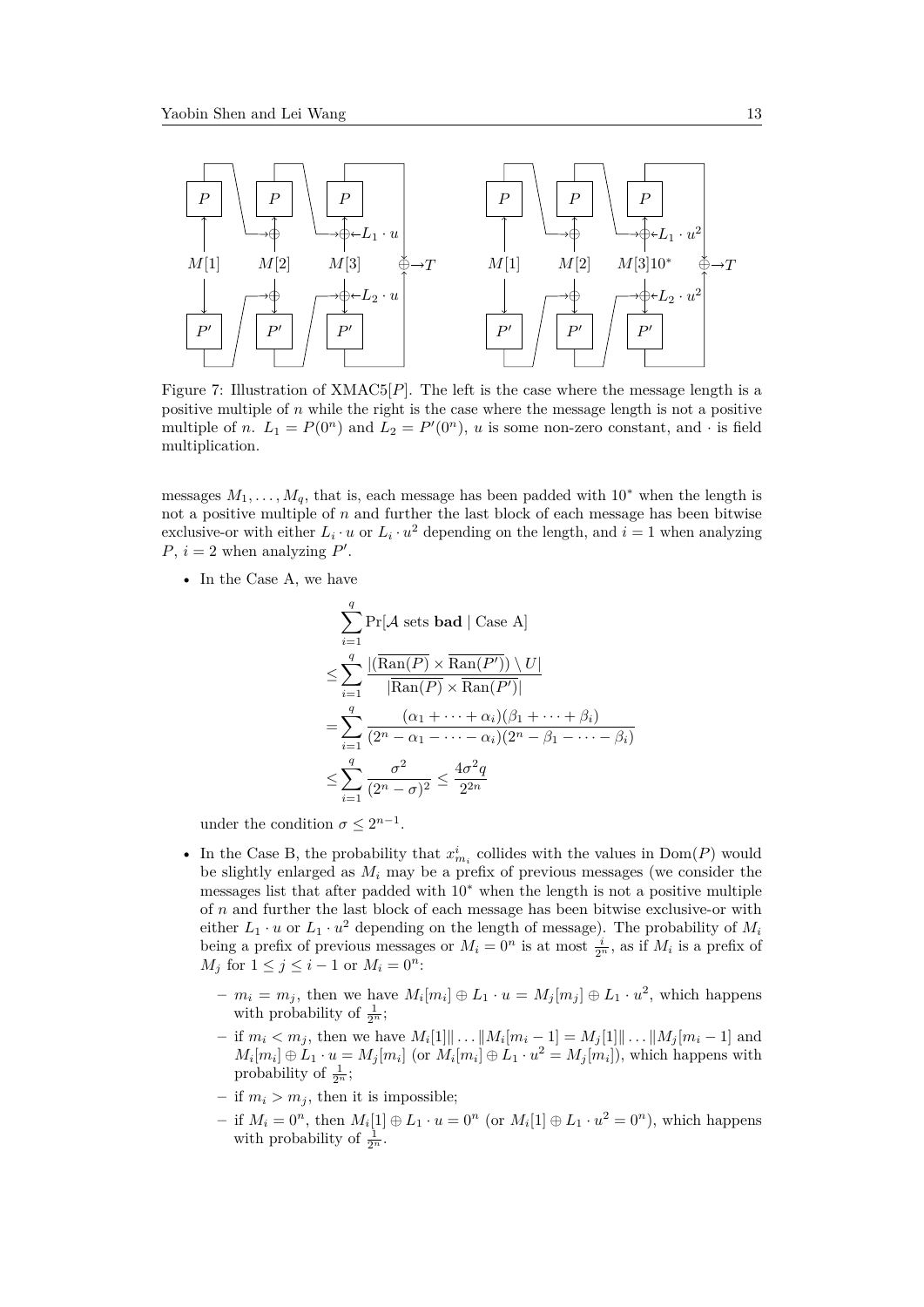

Figure 7: Illustration of XMAC5[*P*]. The left is the case where the message length is a positive multiple of *n* while the right is the case where the message length is not a positive multiple of *n*.  $L_1 = P(0^n)$  and  $L_2 = P'(0^n)$ , *u* is some non-zero constant, and  $\cdot$  is field multiplication.

messages  $M_1, \ldots, M_q$ , that is, each message has been padded with 10<sup>∗</sup> when the length is not a positive multiple of *n* and further the last block of each message has been bitwise exclusive-or with either  $L_i \cdot u$  or  $L_i \cdot u^2$  depending on the length, and  $i = 1$  when analyzing *P*,  $i = 2$  when analyzing *P*'.

• In the Case A, we have

$$
\sum_{i=1}^{q} \Pr[\mathcal{A} \text{ sets } \text{bad} \mid \text{Case A}]
$$
\n
$$
\leq \sum_{i=1}^{q} \frac{\left| (\overline{\text{Ran}(P)} \times \overline{\text{Ran}(P')}) \setminus U \right|}{\left| \overline{\text{Ran}(P)} \times \overline{\text{Ran}(P')} \right|}
$$
\n
$$
= \sum_{i=1}^{q} \frac{(\alpha_1 + \dots + \alpha_i)(\beta_1 + \dots + \beta_i)}{(2^n - \alpha_1 - \dots - \alpha_i)(2^n - \beta_1 - \dots - \beta_i)}
$$
\n
$$
\leq \sum_{i=1}^{q} \frac{\sigma^2}{(2^n - \sigma)^2} \leq \frac{4\sigma^2 q}{2^{2n}}
$$

under the condition  $\sigma \leq 2^{n-1}$ .

- In the Case B, the probability that  $x_{m_i}^i$  collides with the values in  $Dom(P)$  would be slightly enlarged as *M<sup>i</sup>* may be a prefix of previous messages (we consider the messages list that after padded with 10<sup>∗</sup> when the length is not a positive multiple of *n* and further the last block of each message has been bitwise exclusive-or with either  $L_1 \cdot u$  or  $L_1 \cdot u^2$  depending on the length of message). The probability of  $M_i$ being a prefix of previous messages or  $M_i = 0^n$  is at most  $\frac{i}{2^n}$ , as if  $M_i$  is a prefix of *M*<sup>*j*</sup> for  $1 \leq j \leq i - 1$  or  $M_i = 0^n$ :
	- $-m_i = m_j$ , then we have  $M_i[m_i] \oplus L_1 \cdot u = M_j[m_j] \oplus L_1 \cdot u^2$ , which happens with probability of  $\frac{1}{2^n}$ ;
	- $-$  if  $m_i < m_j$ , then we have  $M_i[1] \| \dots \| M_i[m_i 1] = M_j[1] \| \dots \| M_j[m_i 1]$  and  $M_i[m_i] \oplus L_1 \cdot u = M_j[m_i]$  (or  $M_i[m_i] \oplus L_1 \cdot u^2 = M_j[m_i]$ ), which happens with probability of  $\frac{1}{2^n}$ ;
	- $-$  if  $m_i > m_j$ , then it is impossible;
	- **−** if  $M_i = 0^n$ , then  $M_i[1] ⊕ L_1 ⋅ u = 0^n$  (or  $M_i[1] ⊕ L_1 ⋅ u^2 = 0^n$ ), which happens with probability of  $\frac{1}{2^n}$ .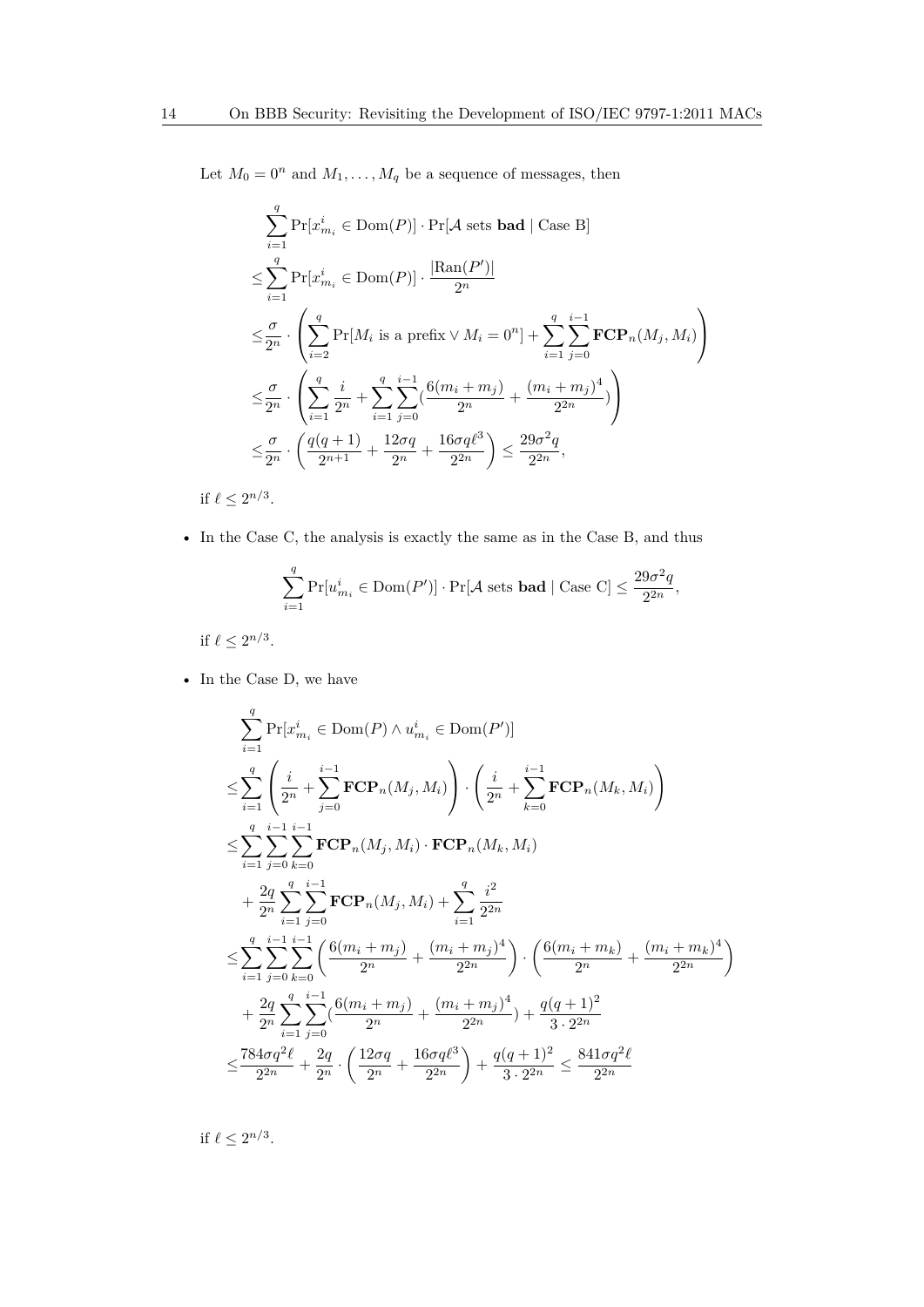Let  $M_0 = 0^n$  and  $M_1, \ldots, M_q$  be a sequence of messages, then

$$
\sum_{i=1}^{q} \Pr[x_{m_i}^i \in \text{Dom}(P)] \cdot \Pr[\mathcal{A} \text{ sets } \text{bad} \mid \text{Case B}]
$$
\n
$$
\leq \sum_{i=1}^{q} \Pr[x_{m_i}^i \in \text{Dom}(P)] \cdot \frac{|\text{Ran}(P')|}{2^n}
$$
\n
$$
\leq \frac{\sigma}{2^n} \cdot \left( \sum_{i=2}^{q} \Pr[M_i \text{ is a prefix} \lor M_i = 0^n] + \sum_{i=1}^{q} \sum_{j=0}^{i-1} \mathbf{FCP}_n(M_j, M_i) \right)
$$
\n
$$
\leq \frac{\sigma}{2^n} \cdot \left( \sum_{i=1}^{q} \frac{i}{2^n} + \sum_{i=1}^{q} \sum_{j=0}^{i-1} \left( \frac{6(m_i + m_j)}{2^n} + \frac{(m_i + m_j)^4}{2^{2n}} \right) \right)
$$
\n
$$
\leq \frac{\sigma}{2^n} \cdot \left( \frac{q(q+1)}{2^{n+1}} + \frac{12\sigma q}{2^n} + \frac{16\sigma q \ell^3}{2^{2n}} \right) \leq \frac{29\sigma^2 q}{2^{2n}},
$$

if  $\ell \leq 2^{n/3}$ .

• In the Case C, the analysis is exactly the same as in the Case B, and thus

$$
\sum_{i=1}^q \Pr[u^i_{m_i} \in \text{Dom}(P')] \cdot \Pr[\mathcal{A} \text{ sets } \mathbf{bad} \mid \text{Case C}] \leq \frac{29\sigma^2q}{2^{2n}},
$$

if  $\ell \leq 2^{n/3}$ .

 $\bullet~$  In the Case D, we have

$$
\sum_{i=1}^{q} \Pr[x_{m_i}^i \in \text{Dom}(P) \land u_{m_i}^i \in \text{Dom}(P')] \n\leq \sum_{i=1}^{q} \left( \frac{i}{2^n} + \sum_{j=0}^{i-1} \text{FCP}_n(M_j, M_i) \right) \cdot \left( \frac{i}{2^n} + \sum_{k=0}^{i-1} \text{FCP}_n(M_k, M_i) \right) \n\leq \sum_{i=1}^{q} \sum_{j=0}^{i-1} \sum_{k=0}^{i-1} \text{FCP}_n(M_j, M_i) \cdot \text{FCP}_n(M_k, M_i) \n+ \frac{2q}{2^n} \sum_{i=1}^{q} \sum_{j=0}^{i-1} \text{FCP}_n(M_j, M_i) + \sum_{i=1}^{q} \frac{i^2}{2^{2n}} \n\leq \sum_{i=1}^{q} \sum_{j=0}^{i-1} \sum_{k=0}^{i-1} \left( \frac{6(m_i + m_j)}{2^n} + \frac{(m_i + m_j)^4}{2^{2n}} \right) \cdot \left( \frac{6(m_i + m_k)}{2^n} + \frac{(m_i + m_k)^4}{2^{2n}} \right) \n+ \frac{2q}{2^n} \sum_{i=1}^{q} \sum_{j=0}^{i-1} \left( \frac{6(m_i + m_j)}{2^n} + \frac{(m_i + m_j)^4}{2^{2n}} \right) + \frac{q(q+1)^2}{3 \cdot 2^{2n}} \n\leq \frac{784\sigma q^2 \ell}{2^{2n}} + \frac{2q}{2^n} \cdot \left( \frac{12\sigma q}{2^n} + \frac{16\sigma q \ell^3}{2^{2n}} \right) + \frac{q(q+1)^2}{3 \cdot 2^{2n}} \leq \frac{841\sigma q^2 \ell}{2^{2n}} \end{aligned}
$$

if  $\ell \leq 2^{n/3}$ .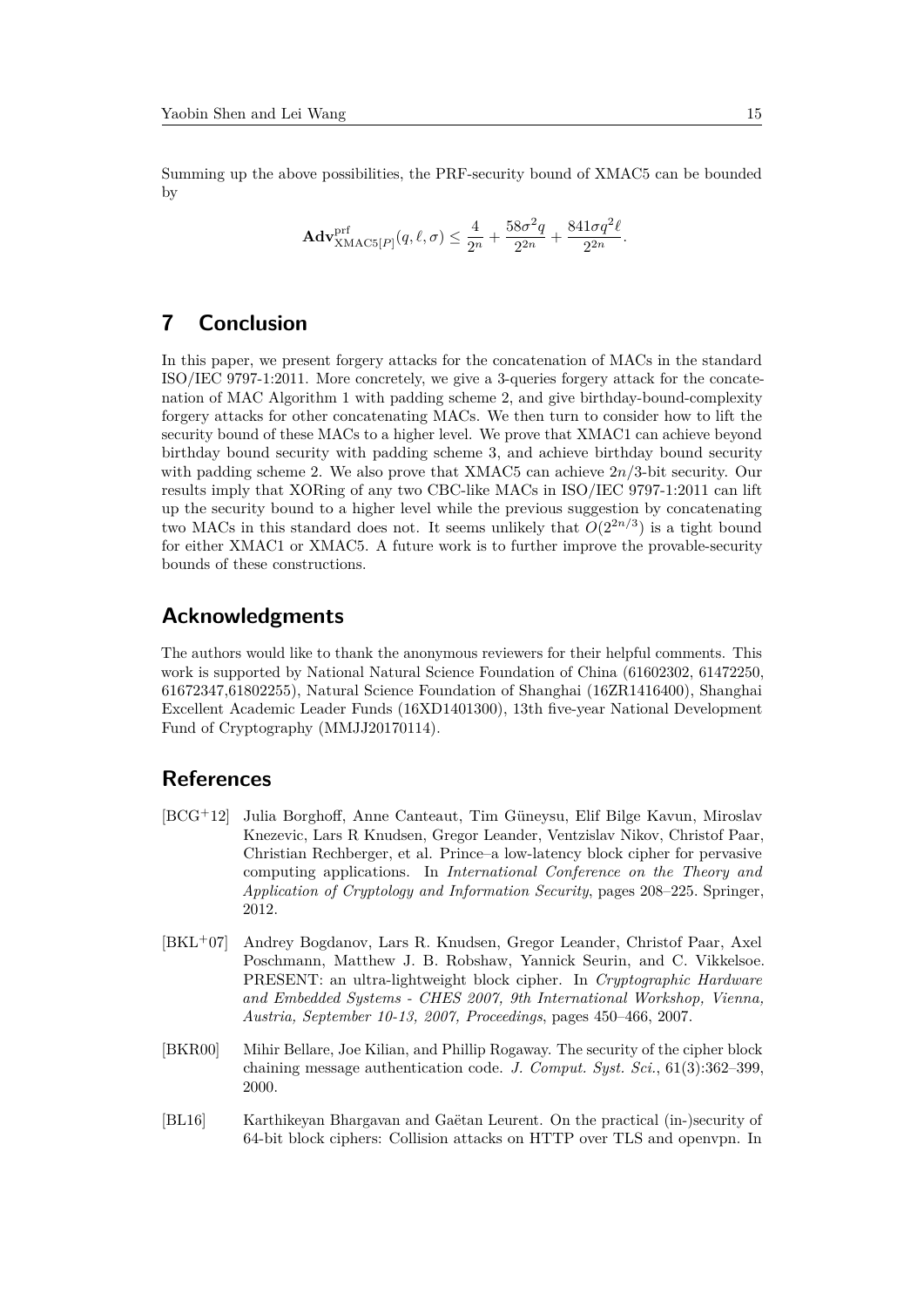Summing up the above possibilities, the PRF-security bound of XMAC5 can be bounded by

$$
\mathbf{Adv}_{\mathbf{XMAC5}[P]}^{\text{prf}}(q,\ell,\sigma) \le \frac{4}{2^n} + \frac{58\sigma^2q}{2^{2n}} + \frac{841\sigma q^2\ell}{2^{2n}}.
$$

# **7 Conclusion**

In this paper, we present forgery attacks for the concatenation of MACs in the standard ISO/IEC 9797-1:2011. More concretely, we give a 3-queries forgery attack for the concatenation of MAC Algorithm 1 with padding scheme 2, and give birthday-bound-complexity forgery attacks for other concatenating MACs. We then turn to consider how to lift the security bound of these MACs to a higher level. We prove that XMAC1 can achieve beyond birthday bound security with padding scheme 3, and achieve birthday bound security with padding scheme 2. We also prove that XMAC5 can achieve 2*n/*3-bit security. Our results imply that XORing of any two CBC-like MACs in ISO/IEC 9797-1:2011 can lift up the security bound to a higher level while the previous suggestion by concatenating two MACs in this standard does not. It seems unlikely that  $O(2^{2n/3})$  is a tight bound for either XMAC1 or XMAC5. A future work is to further improve the provable-security bounds of these constructions.

## **Acknowledgments**

The authors would like to thank the anonymous reviewers for their helpful comments. This work is supported by National Natural Science Foundation of China (61602302, 61472250, 61672347,61802255), Natural Science Foundation of Shanghai (16ZR1416400), Shanghai Excellent Academic Leader Funds (16XD1401300), 13th five-year National Development Fund of Cryptography (MMJJ20170114).

## **References**

- [BCG<sup>+</sup>12] Julia Borghoff, Anne Canteaut, Tim Güneysu, Elif Bilge Kavun, Miroslav Knezevic, Lars R Knudsen, Gregor Leander, Ventzislav Nikov, Christof Paar, Christian Rechberger, et al. Prince–a low-latency block cipher for pervasive computing applications. In *International Conference on the Theory and Application of Cryptology and Information Security*, pages 208–225. Springer, 2012.
- [BKL<sup>+</sup>07] Andrey Bogdanov, Lars R. Knudsen, Gregor Leander, Christof Paar, Axel Poschmann, Matthew J. B. Robshaw, Yannick Seurin, and C. Vikkelsoe. PRESENT: an ultra-lightweight block cipher. In *Cryptographic Hardware and Embedded Systems - CHES 2007, 9th International Workshop, Vienna, Austria, September 10-13, 2007, Proceedings*, pages 450–466, 2007.
- [BKR00] Mihir Bellare, Joe Kilian, and Phillip Rogaway. The security of the cipher block chaining message authentication code. *J. Comput. Syst. Sci.*, 61(3):362–399, 2000.
- [BL16] Karthikeyan Bhargavan and Gaëtan Leurent. On the practical (in-)security of 64-bit block ciphers: Collision attacks on HTTP over TLS and openvpn. In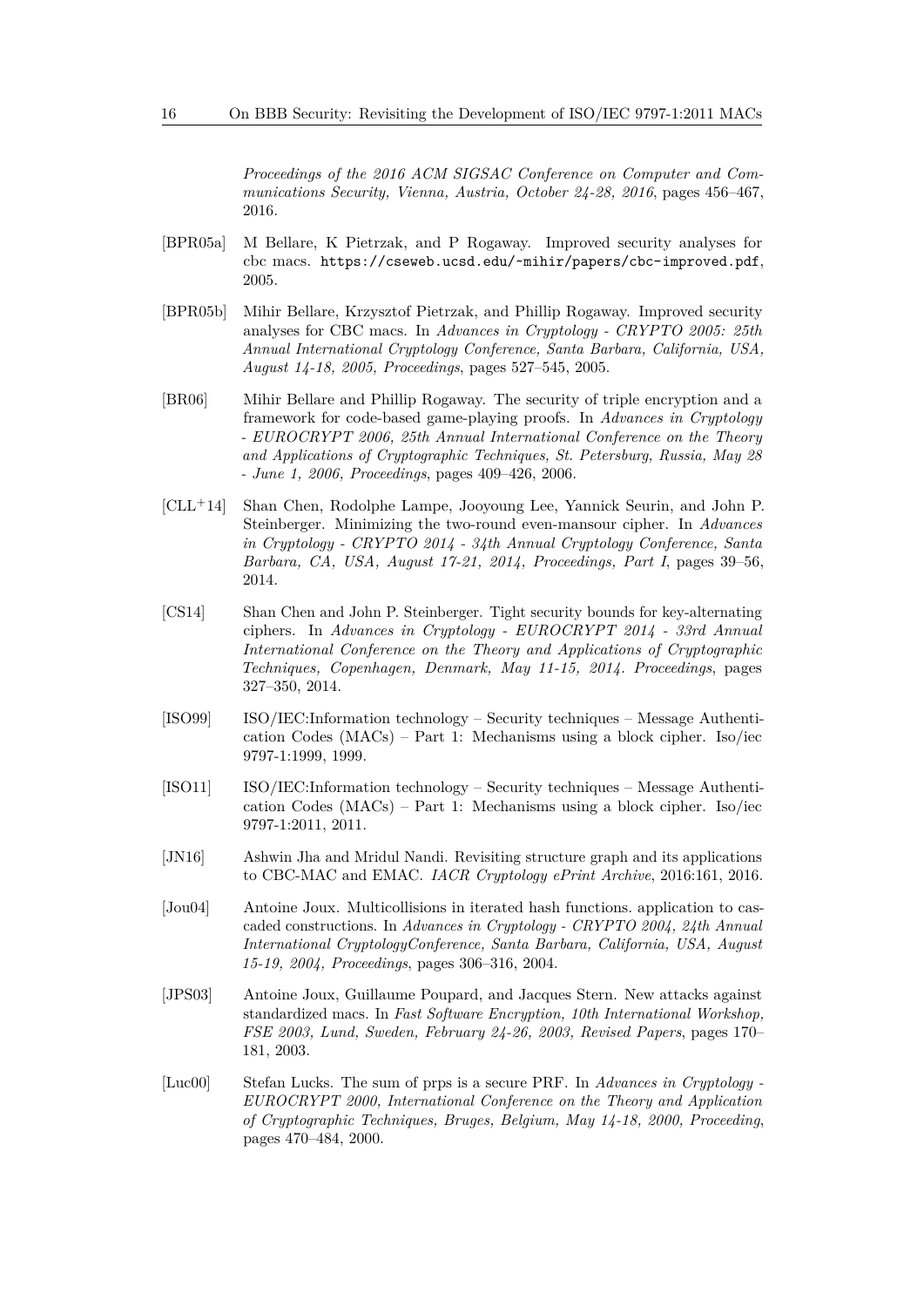*Proceedings of the 2016 ACM SIGSAC Conference on Computer and Communications Security, Vienna, Austria, October 24-28, 2016*, pages 456–467, 2016.

- [BPR05a] M Bellare, K Pietrzak, and P Rogaway. Improved security analyses for cbc macs. https://cseweb.ucsd.edu/~mihir/papers/cbc-improved.pdf, 2005.
- [BPR05b] Mihir Bellare, Krzysztof Pietrzak, and Phillip Rogaway. Improved security analyses for CBC macs. In *Advances in Cryptology - CRYPTO 2005: 25th Annual International Cryptology Conference, Santa Barbara, California, USA, August 14-18, 2005, Proceedings*, pages 527–545, 2005.
- [BR06] Mihir Bellare and Phillip Rogaway. The security of triple encryption and a framework for code-based game-playing proofs. In *Advances in Cryptology - EUROCRYPT 2006, 25th Annual International Conference on the Theory and Applications of Cryptographic Techniques, St. Petersburg, Russia, May 28 - June 1, 2006, Proceedings*, pages 409–426, 2006.
- [CLL<sup>+</sup>14] Shan Chen, Rodolphe Lampe, Jooyoung Lee, Yannick Seurin, and John P. Steinberger. Minimizing the two-round even-mansour cipher. In *Advances in Cryptology - CRYPTO 2014 - 34th Annual Cryptology Conference, Santa Barbara, CA, USA, August 17-21, 2014, Proceedings, Part I*, pages 39–56, 2014.
- [CS14] Shan Chen and John P. Steinberger. Tight security bounds for key-alternating ciphers. In *Advances in Cryptology - EUROCRYPT 2014 - 33rd Annual International Conference on the Theory and Applications of Cryptographic Techniques, Copenhagen, Denmark, May 11-15, 2014. Proceedings*, pages 327–350, 2014.
- [ISO99] ISO/IEC:Information technology Security techniques Message Authentication Codes (MACs) – Part 1: Mechanisms using a block cipher. Iso/iec 9797-1:1999, 1999.
- [ISO11] ISO/IEC:Information technology Security techniques Message Authentication Codes (MACs) – Part 1: Mechanisms using a block cipher. Iso/iec 9797-1:2011, 2011.
- [JN16] Ashwin Jha and Mridul Nandi. Revisiting structure graph and its applications to CBC-MAC and EMAC. *IACR Cryptology ePrint Archive*, 2016:161, 2016.
- [Jou04] Antoine Joux. Multicollisions in iterated hash functions. application to cascaded constructions. In *Advances in Cryptology - CRYPTO 2004, 24th Annual International CryptologyConference, Santa Barbara, California, USA, August 15-19, 2004, Proceedings*, pages 306–316, 2004.
- [JPS03] Antoine Joux, Guillaume Poupard, and Jacques Stern. New attacks against standardized macs. In *Fast Software Encryption, 10th International Workshop, FSE 2003, Lund, Sweden, February 24-26, 2003, Revised Papers*, pages 170– 181, 2003.
- [Luc00] Stefan Lucks. The sum of prps is a secure PRF. In *Advances in Cryptology - EUROCRYPT 2000, International Conference on the Theory and Application of Cryptographic Techniques, Bruges, Belgium, May 14-18, 2000, Proceeding*, pages 470–484, 2000.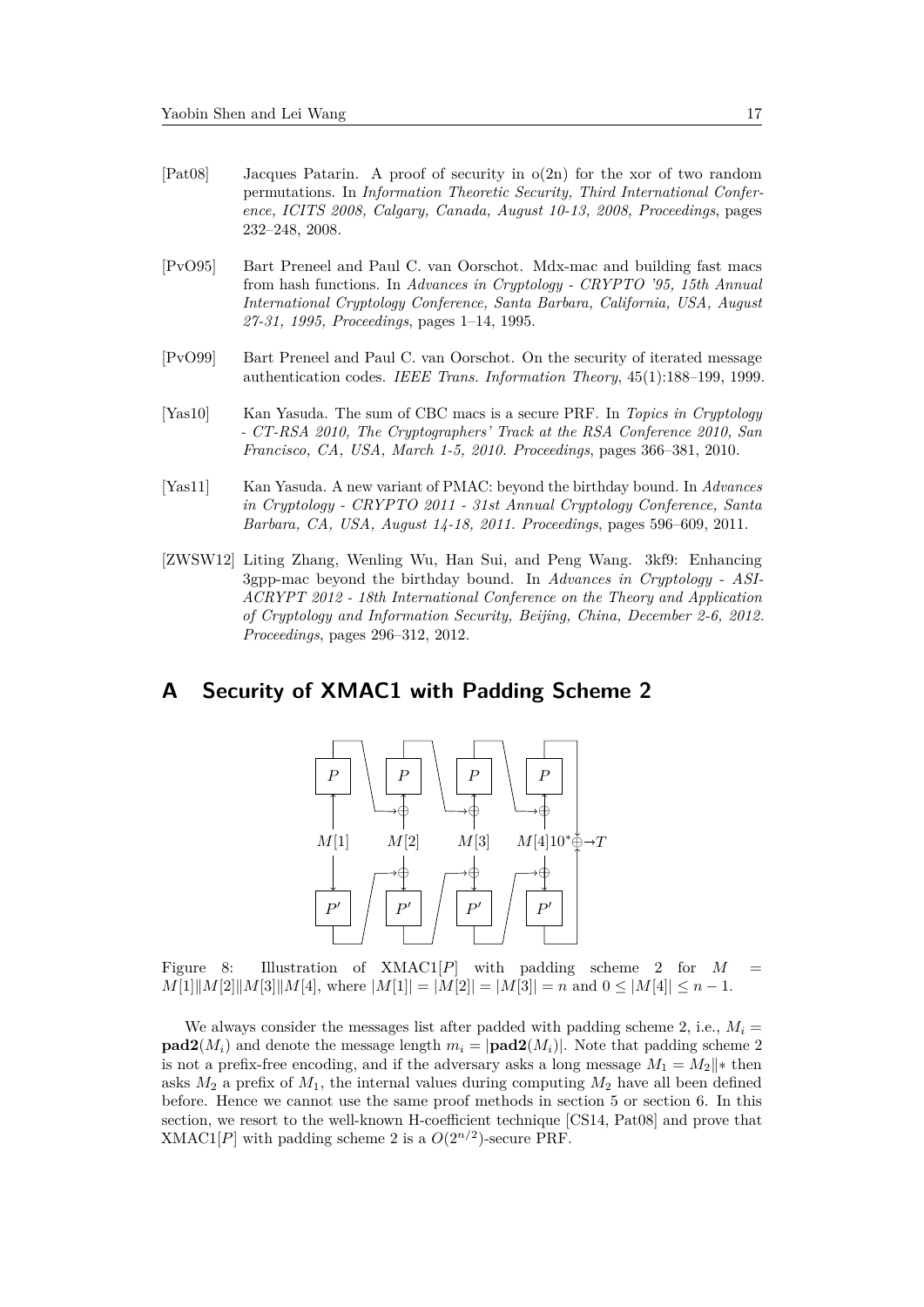- [Pat08] Jacques Patarin. A proof of security in o(2n) for the xor of two random permutations. In *Information Theoretic Security, Third International Conference, ICITS 2008, Calgary, Canada, August 10-13, 2008, Proceedings*, pages 232–248, 2008.
- [PvO95] Bart Preneel and Paul C. van Oorschot. Mdx-mac and building fast macs from hash functions. In *Advances in Cryptology - CRYPTO '95, 15th Annual International Cryptology Conference, Santa Barbara, California, USA, August 27-31, 1995, Proceedings*, pages 1–14, 1995.
- [PvO99] Bart Preneel and Paul C. van Oorschot. On the security of iterated message authentication codes. *IEEE Trans. Information Theory*, 45(1):188–199, 1999.
- [Yas10] Kan Yasuda. The sum of CBC macs is a secure PRF. In *Topics in Cryptology - CT-RSA 2010, The Cryptographers' Track at the RSA Conference 2010, San Francisco, CA, USA, March 1-5, 2010. Proceedings*, pages 366–381, 2010.
- [Yas11] Kan Yasuda. A new variant of PMAC: beyond the birthday bound. In *Advances in Cryptology - CRYPTO 2011 - 31st Annual Cryptology Conference, Santa Barbara, CA, USA, August 14-18, 2011. Proceedings*, pages 596–609, 2011.
- [ZWSW12] Liting Zhang, Wenling Wu, Han Sui, and Peng Wang. 3kf9: Enhancing 3gpp-mac beyond the birthday bound. In *Advances in Cryptology - ASI-ACRYPT 2012 - 18th International Conference on the Theory and Application of Cryptology and Information Security, Beijing, China, December 2-6, 2012. Proceedings*, pages 296–312, 2012.

## **A Security of XMAC1 with Padding Scheme 2**



Figure 8: Illustration of XMAC1[*P*] with padding scheme 2 for *M* =  $M[1] \| M[2] \| M[3] \| M[4]$ , where  $|M[1]| = |M[2]| = |M[3]| = n$  and  $0 \le |M[4]| \le n - 1$ .

We always consider the messages list after padded with padding scheme 2, i.e.,  $M_i =$ **pad2**( $M_i$ ) and denote the message length  $m_i = |\text{pad2}(M_i)|$ . Note that padding scheme 2 is not a prefix-free encoding, and if the adversary asks a long message  $M_1 = M_2$ <sup>\*</sup> then asks  $M_2$  a prefix of  $M_1$ , the internal values during computing  $M_2$  have all been defined before. Hence we cannot use the same proof methods in section 5 or section 6. In this section, we resort to the well-known H-coefficient technique [CS14, Pat08] and prove that  $XMAC1[P]$  with padding scheme 2 is a  $O(2^{n/2})$ -secure PRF.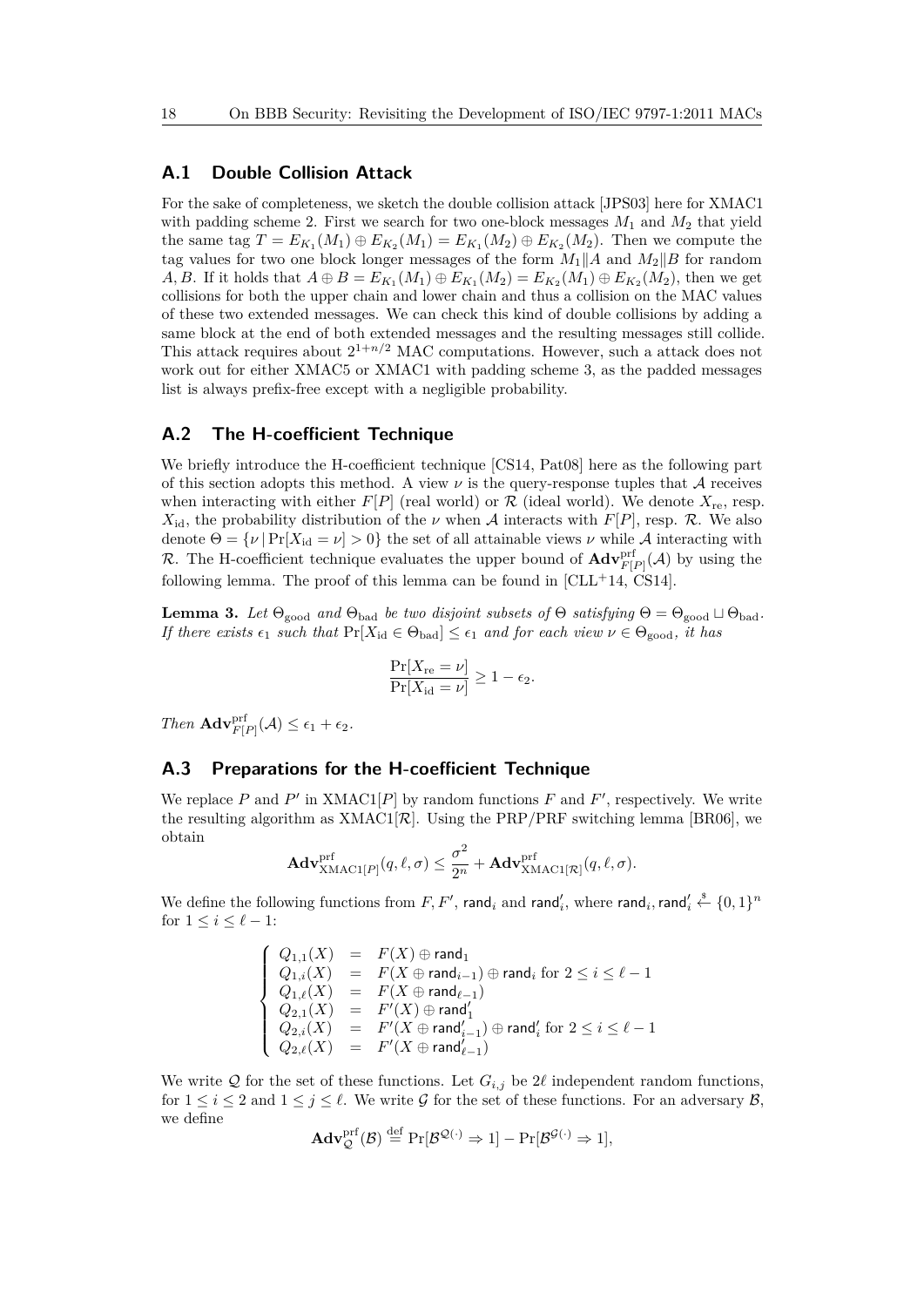#### **A.1 Double Collision Attack**

For the sake of completeness, we sketch the double collision attack [JPS03] here for XMAC1 with padding scheme 2. First we search for two one-block messages *M*<sup>1</sup> and *M*<sup>2</sup> that yield the same tag  $T = E_{K_1}(M_1) \oplus E_{K_2}(M_1) = E_{K_1}(M_2) \oplus E_{K_2}(M_2)$ . Then we compute the tag values for two one block longer messages of the form  $M_1||A$  and  $M_2||B$  for random *A, B.* If it holds that  $A \oplus B = E_{K_1}(M_1) \oplus E_{K_1}(M_2) = E_{K_2}(M_1) \oplus E_{K_2}(M_2)$ , then we get collisions for both the upper chain and lower chain and thus a collision on the MAC values of these two extended messages. We can check this kind of double collisions by adding a same block at the end of both extended messages and the resulting messages still collide. This attack requires about  $2^{1+n/2}$  MAC computations. However, such a attack does not work out for either XMAC5 or XMAC1 with padding scheme 3, as the padded messages list is always prefix-free except with a negligible probability.

## **A.2 The H-coefficient Technique**

We briefly introduce the H-coefficient technique [CS14, Pat08] here as the following part of this section adopts this method. A view  $\nu$  is the query-response tuples that  $\mathcal A$  receives when interacting with either  $F[P]$  (real world) or  $R$  (ideal world). We denote  $X_{re}$ , resp.  $X_{\rm id}$ , the probability distribution of the *ν* when *A* interacts with  $F[P]$ , resp. *R*. We also denote  $\Theta = {\nu | \Pr[X_{\text{id}} = \nu] > 0}$  the set of all attainable views  $\nu$  while A interacting with R. The H-coefficient technique evaluates the upper bound of  $\text{Adv}_{F[P]}^{\text{prf}}(\mathcal{A})$  by using the following lemma. The proof of this lemma can be found in  $[CLL+14, CS14]$ .

**Lemma 3.** *Let*  $\Theta_{\text{good}}$  *and*  $\Theta_{\text{bad}}$  *be two disjoint subsets of*  $\Theta$  *satisfying*  $\Theta = \Theta_{\text{good}} \sqcup \Theta_{\text{bad}}$ *. If there exists*  $\epsilon_1$  *such that*  $Pr[X_{id} \in \Theta_{bad}] \leq \epsilon_1$  *and for each view*  $\nu \in \Theta_{good}$ *, it has* 

$$
\frac{\Pr[X_{\text{re}} = \nu]}{\Pr[X_{\text{id}} = \nu]} \ge 1 - \epsilon_2.
$$

*Then*  $\mathbf{Adv}_{F[P]}^{\text{prf}}(\mathcal{A}) \leq \epsilon_1 + \epsilon_2.$ 

#### **A.3 Preparations for the H-coefficient Technique**

We replace  $P$  and  $P'$  in XMAC1[ $P$ ] by random functions  $F$  and  $F'$ , respectively. We write the resulting algorithm as  $XMAC1[\mathcal{R}]$ . Using the PRP/PRF switching lemma [BR06], we obtain

$$
\mathbf{Adv}_{\mathrm{XMAC1}[P]}^{\mathrm{prf}}(q, \ell, \sigma) \leq \frac{\sigma^2}{2^n} + \mathbf{Adv}_{\mathrm{XMAC1}[\mathcal{R}]}^{\mathrm{prf}}(q, \ell, \sigma).
$$

We define the following functions from  $F, F',$  rand $_i$  and rand $'_i$ , where rand $_i$ , rand $'_i \stackrel{\$}{\leftarrow} \{0,1\}^n$ for  $1 \leq i \leq \ell - 1$ :

$$
\left\{\begin{array}{lcl} Q_{1,1}(X) & = & F(X) \oplus {\rm rand}_1 \\ Q_{1,i}(X) & = & F(X \oplus {\rm rand}_{i-1}) \oplus {\rm rand}_i \; {\rm for} \; 2 \leq i \leq \ell-1 \\ Q_{1,\ell}(X) & = & F(X \oplus {\rm rand}_{\ell-1}) \\ Q_{2,1}(X) & = & F'(X) \oplus {\rm rand}_1' \\ Q_{2,i}(X) & = & F'(X \oplus {\rm rand}_{i-1}') \oplus {\rm rand}_i' \; {\rm for} \; 2 \leq i \leq \ell-1 \\ Q_{2,\ell}(X) & = & F'(X \oplus {\rm rand}_{\ell-1}') \end{array}\right.
$$

We write Q for the set of these functions. Let  $G_{i,j}$  be 2 $\ell$  independent random functions, for  $1 \leq i \leq 2$  and  $1 \leq j \leq \ell$ . We write G for the set of these functions. For an adversary B, we define

$$
\mathbf{Adv}_{\mathcal{Q}}^{\mathrm{prf}}(\mathcal{B}) \stackrel{\mathrm{def}}{=} \Pr[\mathcal{B}^{\mathcal{Q}(\cdot)} \Rightarrow 1] - \Pr[\mathcal{B}^{\mathcal{G}(\cdot)} \Rightarrow 1],
$$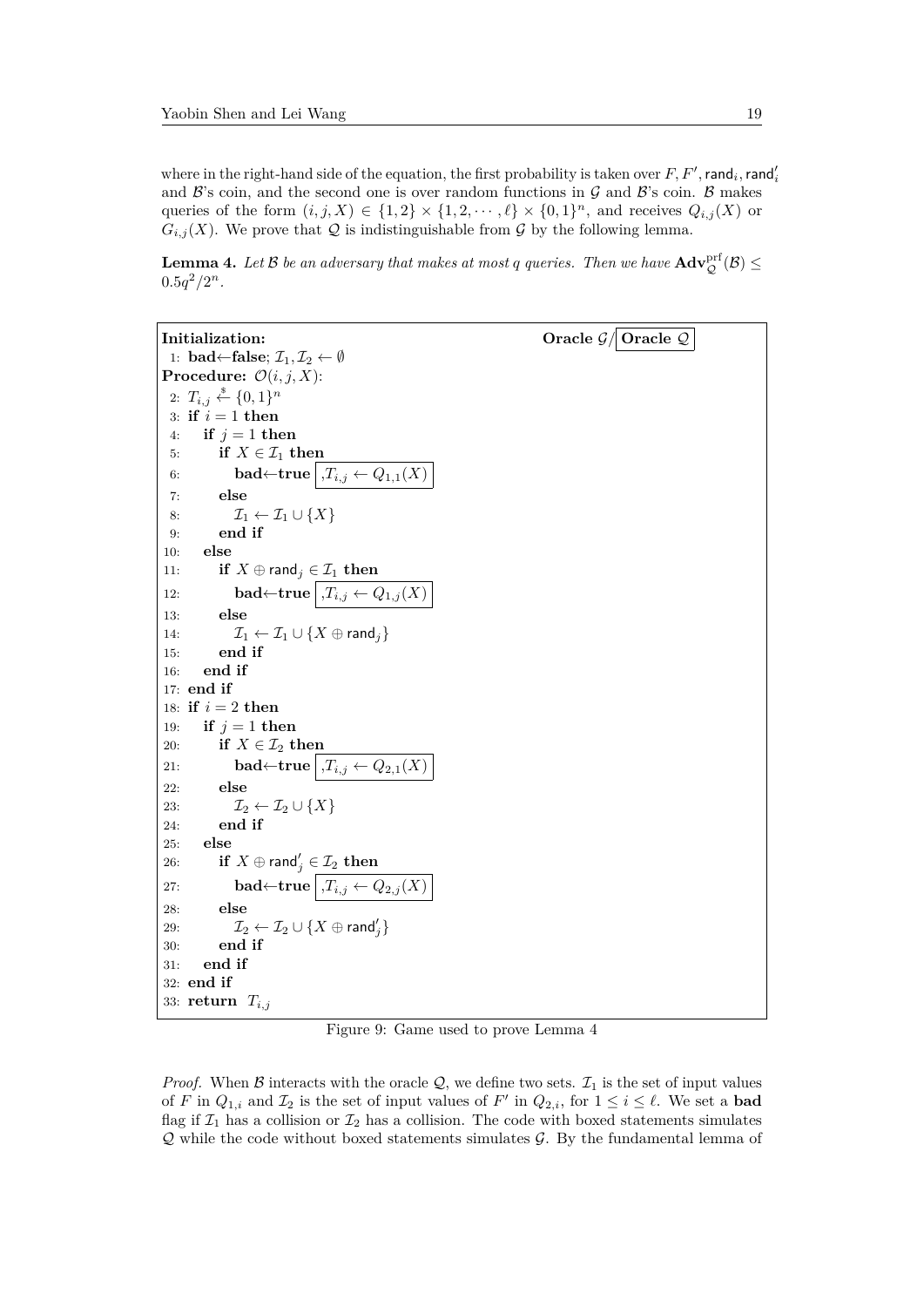where in the right-hand side of the equation, the first probability is taken over  $F, F',$  rand<sub>i</sub>, rand<sub>i</sub> and  $\mathcal{B}$ 's coin, and the second one is over random functions in  $\mathcal{G}$  and  $\mathcal{B}$ 's coin.  $\mathcal{B}$  makes queries of the form  $(i, j, X) \in \{1, 2\} \times \{1, 2, \dots, \ell\} \times \{0, 1\}^n$ , and receives  $Q_{i,j}(X)$  or  $G_{i,j}(X)$ . We prove that Q is indistinguishable from G by the following lemma.

**Lemma 4.** Let  $\mathcal B$  be an adversary that makes at most  $q$  queries. Then we have  $\mathbf{Adv}_{\mathcal Q}^{\text{prf}}(\mathcal B)\leq$  $0.5q^2/2^n$ .

```
Initialization: Oracle \mathcal{G}/\overline{\text{Oracle }Q}1: bad←false; \mathcal{I}_1, \mathcal{I}_2 \leftarrow \emptysetProcedure: \mathcal{O}(i, j, X):
  2: T_{i,j} \overset{\hspace{0.1em}\mathsf{\scriptscriptstyle\$}}{\leftarrow} \{0,1\}^n3: if i = 1 then
 4: if j = 1 then
 5: if X \in \mathcal{I}_1 then
 6: bad←true T_i, T_{i,j} ← Q_{1,1}(X)7: else
 8: \mathcal{I}_1 \leftarrow \mathcal{I}_1 \cup \{X\}9: end if
10: else
11: if X \oplus \text{rand}_j \in \mathcal{I}_1 then
12: bad←true \overline{,T_{i,j} \leftarrow Q_{1,j}(X)}13: else
14: \mathcal{I}_1 \leftarrow \mathcal{I}_1 \cup \{X \oplus \text{rand}_j\}15: end if
16: end if
17: end if
18: if i = 2 then
19: if i = 1 then
20: if X \in \mathcal{I}_2 then
21: bad←true , T_{i,j} ← Q_{2,1}(X)22: else
23: \mathcal{I}_2 \leftarrow \mathcal{I}_2 \cup \{X\}24: end if
25: else
26: if X \oplus \text{rand}'_j \in \mathcal{I}_2 then
27: bad←\mathbf{true} \mid T_{i,j} \leftarrow Q_{2,j}(X)28: else
29: \mathcal{I}_2 \leftarrow \mathcal{I}_2 \cup \{X \oplus \mathsf{rand}_j'\}30: end if
31: end if
32: end if
33: return Ti,j
```
Figure 9: Game used to prove Lemma 4

*Proof.* When B interacts with the oracle  $Q$ , we define two sets.  $\mathcal{I}_1$  is the set of input values of *F* in  $Q_{1,i}$  and  $\mathcal{I}_2$  is the set of input values of *F'* in  $Q_{2,i}$ , for  $1 \leq i \leq \ell$ . We set a **bad** flag if  $\mathcal{I}_1$  has a collision or  $\mathcal{I}_2$  has a collision. The code with boxed statements simulates  $Q$  while the code without boxed statements simulates  $G$ . By the fundamental lemma of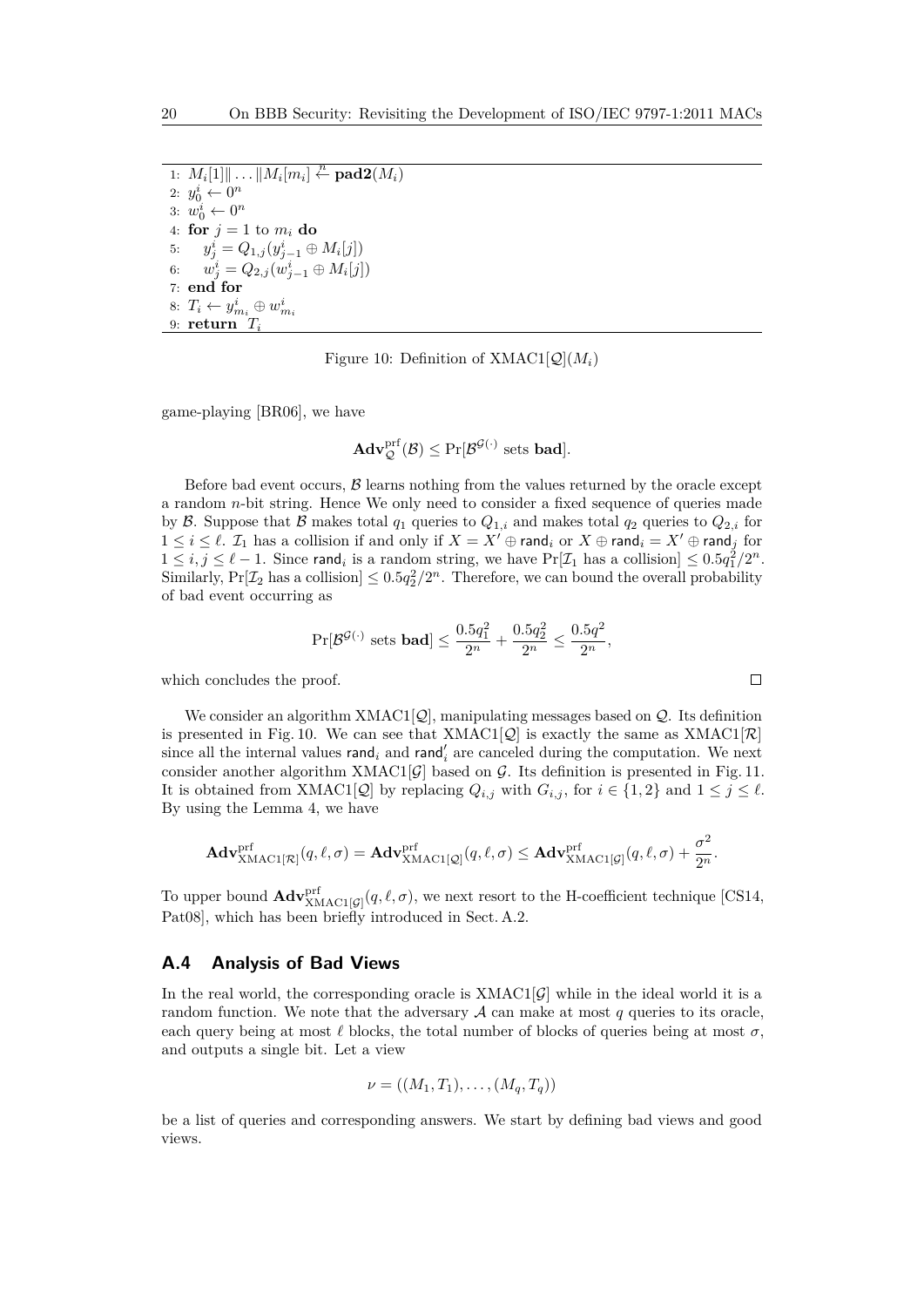$\overline{M_i[M_i][\ldots \Vert M_i[m_i]]}, \stackrel{n}{\leftarrow} \textbf{pad2}(M_i)$ 2:  $y_0^i \leftarrow 0^n$ 3:  $w_0^i \leftarrow 0^n$ 4: **for**  $j = 1$  to  $m_i$  **do** 5:  $y_j^i = Q_{1,j}(y_{j-1}^i \oplus M_i[j])$ 6:  $w_j^i = Q_{2,j}(w_{j-1}^i \oplus M_i[j])$ 7: **end for** 8:  $T_i \leftarrow y_{m_i}^i \oplus w_{m_i}^i$ 9: **return** *T<sup>i</sup>*

Figure 10: Definition of  $XMAC1[\mathcal{Q}](M_i)$ 

game-playing [BR06], we have

$$
\mathbf{Adv}_{\mathcal{Q}}^{\mathrm{prf}}(\mathcal{B}) \leq \Pr[\mathcal{B}^{\mathcal{G}(\cdot)} \text{ sets } \mathbf{bad}].
$$

Before bad event occurs,  $\beta$  learns nothing from the values returned by the oracle except a random *n*-bit string. Hence We only need to consider a fixed sequence of queries made by B. Suppose that B makes total  $q_1$  queries to  $Q_{1,i}$  and makes total  $q_2$  queries to  $Q_{2,i}$  for 1 ≤ *i* ≤  $\ell$ .  $\mathcal{I}_1$  has a collision if and only if  $X = X' \oplus \text{rand}_i$  or  $X \oplus \text{rand}_i = X' \oplus \text{rand}_j$  for  $1 \le i, j \le \ell - 1$ . Since rand<sub>i</sub> is a random string, we have  $Pr[\mathcal{I}_1]$  has a collision  $] \le 0.5q_1^2/2^n$ . Similarly,  $Pr[\mathcal{I}_2]$  has a collision  $\leq 0.5q_2^2/2^n$ . Therefore, we can bound the overall probability of bad event occurring as

$$
\Pr[\mathcal{B}^{\mathcal{G}(\cdot)} \text{ sets } \mathbf{bad}] \le \frac{0.5q_1^2}{2^n} + \frac{0.5q_2^2}{2^n} \le \frac{0.5q^2}{2^n},
$$

which concludes the proof.

We consider an algorithm  $XMAC1[Q]$ , manipulating messages based on  $Q$ . Its definition is presented in Fig. 10. We can see that  $XMAC1[Q]$  is exactly the same as  $XMAC1[\mathcal{R}]$ since all the internal values  $\mathsf{rand}_i$  and  $\mathsf{rand}'_i$  are canceled during the computation. We next consider another algorithm XMAC1 $[\mathcal{G}]$  based on  $\mathcal{G}$ . Its definition is presented in Fig. 11. It is obtained from XMAC1[ $\mathcal{Q}$ ] by replacing  $Q_{i,j}$  with  $G_{i,j}$ , for  $i \in \{1,2\}$  and  $1 \leq j \leq \ell$ . By using the Lemma 4, we have

$$
\mathbf{Adv}_{\mathbf{XMAC1}[\mathcal{R}]}^{\text{prf}}(q, \ell, \sigma) = \mathbf{Adv}_{\mathbf{XMAC1}[\mathcal{Q}]}^{\text{prf}}(q, \ell, \sigma) \leq \mathbf{Adv}_{\mathbf{XMAC1}[\mathcal{G}]}^{\text{prf}}(q, \ell, \sigma) + \frac{\sigma^2}{2^n}.
$$

To upper bound  $\mathbf{Adv}_{\mathbf{XMAC1}[\mathcal{G}]}^{prf}(q, \ell, \sigma)$ , we next resort to the H-coefficient technique [CS14, Pat08], which has been briefly introduced in Sect. A.2.

## **A.4 Analysis of Bad Views**

In the real world, the corresponding oracle is  $XMAC1[G]$  while in the ideal world it is a random function. We note that the adversary  $A$  can make at most  $q$  queries to its oracle, each query being at most  $\ell$  blocks, the total number of blocks of queries being at most  $\sigma$ , and outputs a single bit. Let a view

$$
\nu = ((M_1, T_1), \ldots, (M_q, T_q))
$$

be a list of queries and corresponding answers. We start by defining bad views and good views.

$$
\qquad \qquad \Box
$$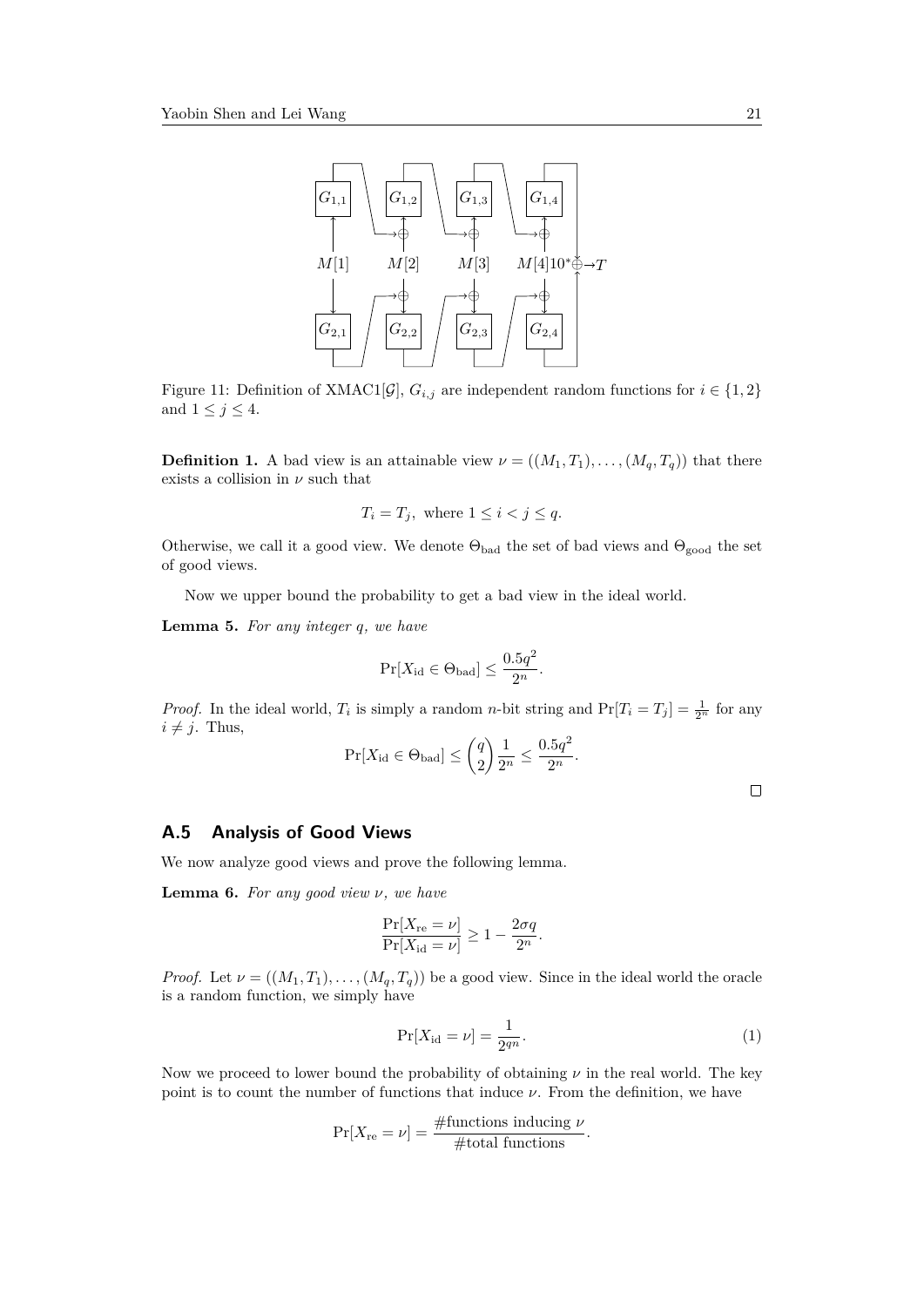

Figure 11: Definition of XMAC1[ $\mathcal{G}$ ],  $G_{i,j}$  are independent random functions for  $i \in \{1,2\}$ and  $1 \leq j \leq 4$ .

**Definition 1.** A bad view is an attainable view  $\nu = ((M_1, T_1), \ldots, (M_q, T_q))$  that there exists a collision in  $\nu$  such that

$$
T_i = T_j, \text{ where } 1 \le i < j \le q.
$$

Otherwise, we call it a good view. We denote  $\Theta_{bad}$  the set of bad views and  $\Theta_{good}$  the set of good views.

Now we upper bound the probability to get a bad view in the ideal world.

**Lemma 5.** *For any integer q, we have*

$$
\Pr[X_{\text{id}} \in \Theta_{\text{bad}}] \le \frac{0.5q^2}{2^n}.
$$

*Proof.* In the ideal world,  $T_i$  is simply a random *n*-bit string and  $Pr[T_i = T_j] = \frac{1}{2^n}$  for any  $i \neq j$ . Thus,

$$
\Pr[X_{\text{id}} \in \Theta_{\text{bad}}] \le \binom{q}{2} \frac{1}{2^n} \le \frac{0.5q^2}{2^n}.
$$

 $\Box$ 

## **A.5 Analysis of Good Views**

We now analyze good views and prove the following lemma.

**Lemma 6.** *For any good view ν, we have*

$$
\frac{\Pr[X_{\text{re}} = \nu]}{\Pr[X_{\text{id}} = \nu]} \ge 1 - \frac{2\sigma q}{2^n}.
$$

*Proof.* Let  $\nu = ((M_1, T_1), \ldots, (M_q, T_q))$  be a good view. Since in the ideal world the oracle is a random function, we simply have

$$
\Pr[X_{\rm id} = \nu] = \frac{1}{2^{qn}}.\tag{1}
$$

Now we proceed to lower bound the probability of obtaining *ν* in the real world. The key point is to count the number of functions that induce  $\nu$ . From the definition, we have

$$
Pr[X_{re} = \nu] = \frac{\#functions inducing \ \nu}{\#total functions}.
$$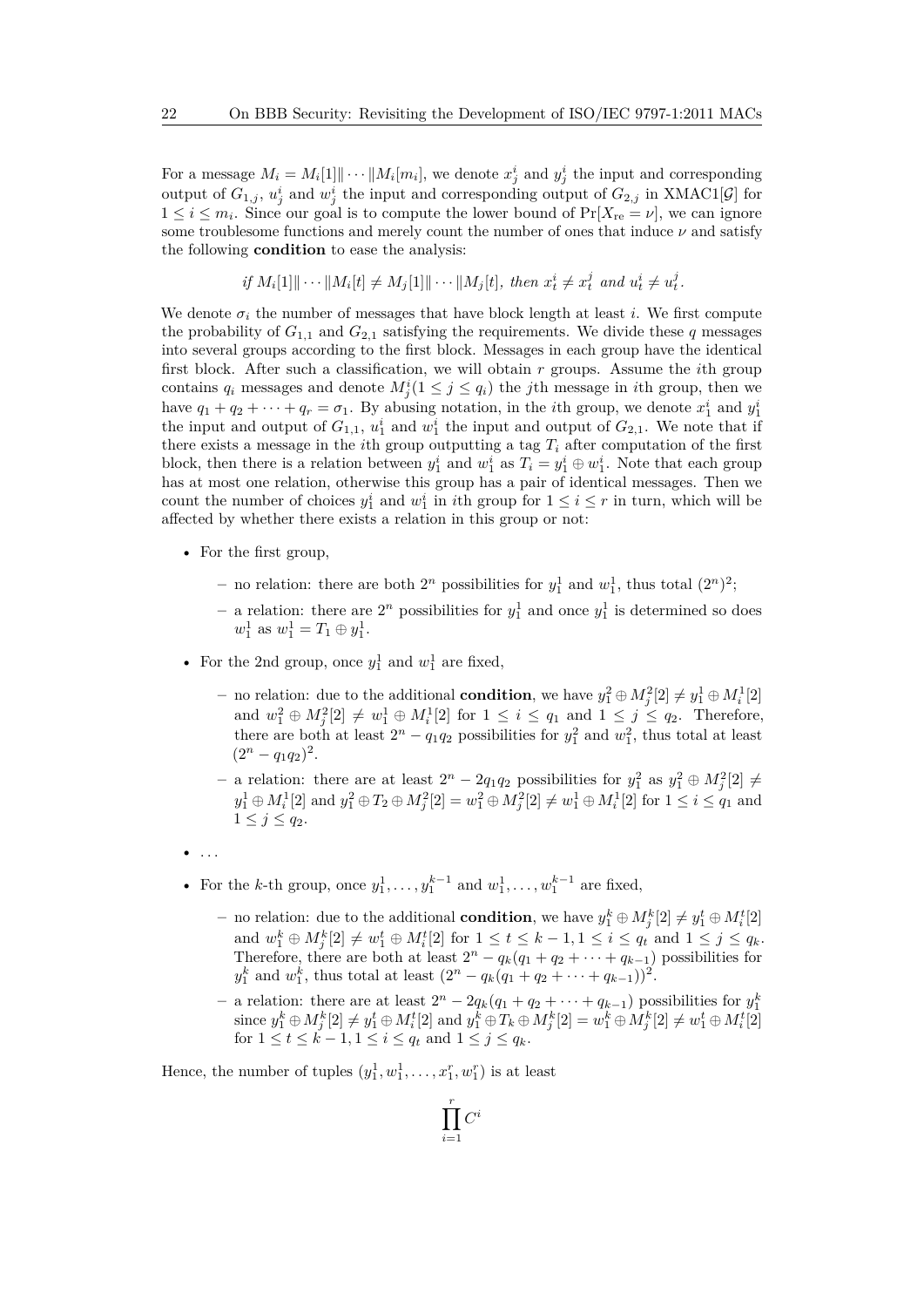For a message  $M_i = M_i[1] \cdots ||M_i[m_i]$ , we denote  $x_j^i$  and  $y_j^i$  the input and corresponding output of  $G_{1,j}$ ,  $u_j^i$  and  $w_j^i$  the input and corresponding output of  $G_{2,j}$  in XMAC1[ $\mathcal{G}$ ] for  $1 \leq i \leq m_i$ . Since our goal is to compute the lower bound of  $Pr[X_{\text{re}} = \nu]$ , we can ignore some troublesome functions and merely count the number of ones that induce *ν* and satisfy the following **condition** to ease the analysis:

if 
$$
M_i[1] \| \cdots \| M_i[t] \neq M_j[1] \| \cdots \| M_j[t]
$$
, then  $x_t^i \neq x_t^j$  and  $u_t^i \neq u_t^j$ .

We denote  $\sigma_i$  the number of messages that have block length at least *i*. We first compute the probability of  $G_{1,1}$  and  $G_{2,1}$  satisfying the requirements. We divide these *q* messages into several groups according to the first block. Messages in each group have the identical first block. After such a classification, we will obtain *r* groups. Assume the *i*th group contains  $q_i$  messages and denote  $M^i_j(1 \leq j \leq q_i)$  the *j*th message in *i*th group, then we have  $q_1 + q_2 + \cdots + q_r = \sigma_1$ . By abusing notation, in the *i*th group, we denote  $x_1^i$  and  $y_1^i$ the input and output of  $G_{1,1}$ ,  $u_1^i$  and  $w_1^i$  the input and output of  $G_{2,1}$ . We note that if there exists a message in the *i*<sup>th</sup> group outputting a tag  $T_i$  after computation of the first block, then there is a relation between  $y_1^i$  and  $w_1^i$  as  $T_i = y_1^i \oplus w_1^i$ . Note that each group has at most one relation, otherwise this group has a pair of identical messages. Then we count the number of choices  $y_1^i$  and  $w_1^i$  in *i*th group for  $1 \leq i \leq r$  in turn, which will be affected by whether there exists a relation in this group or not:

- For the first group,
	- $-$  no relation: there are both  $2^n$  possibilities for  $y_1^1$  and  $w_1^1$ , thus total  $(2^n)^2$ ;
	- $-$  a relation: there are  $2^n$  possibilities for  $y_1^1$  and once  $y_1^1$  is determined so does  $w_1^1$  as  $w_1^1 = T_1 \oplus y_1^1$ .
- For the 2nd group, once  $y_1^1$  and  $w_1^1$  are fixed,
	- **−** no relation: due to the additional **condition**, we have  $y_1^2 \oplus M_j^2[2] \neq y_1^1 \oplus M_i^1[2]$ and  $w_1^2 \oplus M_j^2[2] \neq w_1^1 \oplus M_i^1[2]$  for  $1 \leq i \leq q_1$  and  $1 \leq j \leq q_2$ . Therefore, there are both at least  $2^n - q_1 q_2$  possibilities for  $y_1^2$  and  $w_1^2$ , thus total at least  $(2^n - q_1q_2)^2$ .
	- **−** a relation: there are at least  $2^n 2q_1q_2$  possibilities for  $y_1^2$  as  $y_1^2 \oplus M_j^2[2]$  ≠  $y_1^1 \oplus M_i^1[2]$  and  $y_1^2 \oplus T_2 \oplus M_j^2[2] = w_1^2 \oplus M_j^2[2] \neq w_1^1 \oplus M_i^1[2]$  for  $1 \leq i \leq q_1$  and  $1 \leq j \leq q_2$ .
- $\bullet$  ...
- For the *k*-th group, once  $y_1^1, \ldots, y_1^{k-1}$  and  $w_1^1, \ldots, w_1^{k-1}$  are fixed,
	- *–* no relation: due to the additional **condition**, we have  $y_1^k \oplus M_j^k[2] \neq y_1^t \oplus M_i^t[2]$  $\{x_i, y_i \in M_j^k[2] \neq w_1^t \oplus M_i^t[2] \text{ for } 1 \leq t \leq k-1, 1 \leq i \leq q_t \text{ and } 1 \leq j \leq q_k\}.$ Therefore, there are both at least  $2^n - q_k(q_1 + q_2 + \cdots + q_{k-1})$  possibilities for  $y_1^k$  and  $w_1^k$ , thus total at least  $(2^n - q_k(q_1 + q_2 + \cdots + q_{k-1}))^2$ .
	- a relation: there are at least  $2^n 2q_k(q_1 + q_2 + \cdots + q_{k-1})$  possibilities for  $y_1^k$  since  $y_1^k \oplus M_j^k[2] \neq y_1^t \oplus M_i^t[2]$  and  $y_1^k \oplus T_k \oplus M_j^k[2] = w_1^k \oplus M_j^k[2] \neq w_1^t \oplus M_i^t[2]$ for  $1 \leq t \leq k-1, 1 \leq i \leq q_t$  and  $1 \leq j \leq q_k$ .

Hence, the number of tuples  $(y_1^1, w_1^1, \ldots, x_1^r, w_1^r)$  is at least

$$
\prod_{i=1}^r C^i
$$